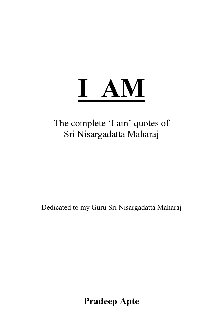

# The complete 'I am' quotes of Sri Nisargadatta Maharaj

Dedicated to my Guru Sri Nisargadatta Maharaj

**Pradeep Apte**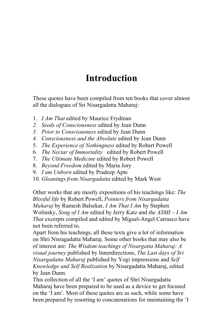# **Introduction**

These quotes have been compiled from ten books that cover almost all the dialogues of Sri Nisargadatta Maharaj:

- 1. *I Am That* edited by Maurice Frydman
- 2. Seeds of Consciousness edited by Jean Dunn
- 3. Prior to Consciousness edited by Jean Dunn
- 4. Consciousness and the Absolute edited by Jean Dunn
- 5. The Experience of Nothingness edited by Robert Powell
- 6. The Nectar of Immortality edited by Robert Powell
- 7. The Ultimate Medicine edited by Robert Powell
- 8. Beyond Freedom edited by Maria Jory
- 9. I am Unborn edited by Pradeep Apte
- 10. Gleanings from Nisargadatta edited by Mark West

Other works that are mostly expositions of his teachings like: The Blissful life by Robert Powell, Pointers from Nisargadatta Maharaj by Ramesh Balsekar, I Am That I Am by Stephen Wolinsky, Song of I Am edited by Jerry Katz and the  $ASMI - I Am$ *That* excerpts compiled and edited by Miguel-Angel Carrasco have not been referred to.

Apart from his teachings, all these texts give a lot of information on Shri Nisragadatta Maharaj. Some other books that may also be of interest are: The Wisdom teachings of Nisargatta Maharaj: A visual journey published by Innerdirections, The Last days of Sri Nisargadatta Maharaj published by Yogi impressions and Self Knowledge and Self Realization by Nisargadatta Maharai, edited by Jean Dunn.

This collection of all the 'I am' quotes of Shri Nisargadatta Maharaj have been prepared to be used as a device to get focused on the 'I am'. Most of these quotes are as such, while some have been prepared by resorting to concatenations for maintaining the 'I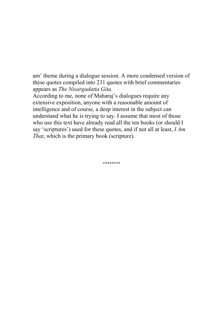am' theme during a dialogue session. A more condensed version of these quotes compiled into 231 quotes with brief commentaries appears as The Nisargadatta Gita.

According to me, none of Maharaj's dialogues require any extensive exposition, anyone with a reasonable amount of intelligence and of course, a deep interest in the subject can understand what he is trying to say. I assume that most of those who use this text have already read all the ten books (or should I say 'scriptures') used for these quotes, and if not all at least,  $IAm$ *That*, which is the primary book (scripture).

\*\*\*\*\*\*\*\*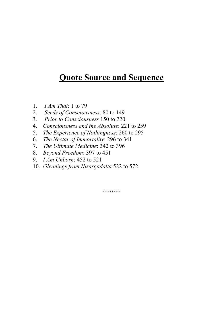# **Quote Source and Sequence**

- *I Am That*: 1 to 79  $1 \quad$
- Seeds of Consciousness: 80 to 149 2.
- 3. Prior to Consciousness 150 to 220
- 4. Consciousness and the Absolute: 221 to 259
- 5. The Experience of Nothingness: 260 to 295
- 6. The Nectar of Immortality: 296 to 341
- 7. The Ultimate Medicine: 342 to 396
- 8. Beyond Freedom: 397 to 451
- 9. *I Am Unborn*: 452 to 521
- 10. Gleanings from Nisargadatta 522 to 572

\*\*\*\*\*\*\*\*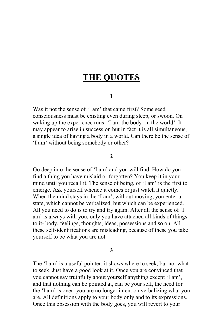# **THE OUOTES**

# $\mathbf{1}$

Was it not the sense of 'I am' that came first? Some seed consciousness must be existing even during sleep, or swoon. On waking up the experience runs: 'I am-the body- in the world'. It may appear to arise in succession but in fact it is all simultaneous, a single idea of having a body in a world. Can there be the sense of 'I am' without being somebody or other?

# $\overline{2}$

Go deep into the sense of 'I am' and you will find. How do you find a thing you have mislaid or forgotten? You keep it in your mind until you recall it. The sense of being, of 'I am' is the first to emerge. Ask yourself whence it comes or just watch it quietly. When the mind stays in the 'I am', without moving, you enter a state, which cannot be verbalized, but which can be experienced. All you need to do is to try and try again. After all the sense of 'I am' is always with you, only you have attached all kinds of things to it-body, feelings, thoughts, ideas, possessions and so on. All these self-identifications are misleading, because of these you take yourself to be what you are not.

# 3

The 'I am' is a useful pointer; it shows where to seek, but not what to seek. Just have a good look at it. Once you are convinced that you cannot say truthfully about yourself anything except 'I am', and that nothing can be pointed at, can be your self, the need for the 'I am' is over-you are no longer intent on verbalizing what you are. All definitions apply to your body only and to its expressions. Once this obsession with the body goes, you will revert to your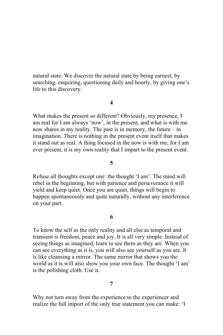natural state. We discover the natural state by being earnest, by searching, enquiring, questioning daily and hourly, by giving one's life to this discovery.

# $\overline{\mathbf{4}}$

What makes the present so different? Obviously, my presence, I am real for I am always 'now', in the present, and what is with me now shares in my reality. The past is in memory, the future  $-$  in imagination. There is nothing in the present event itself that makes it stand out as real. A thing focused in the now is with me, for I am ever present, it is my own reality that I impart to the present event.

# 5

Refuse all thoughts except one: the thought 'I am'. The mind will rebel in the beginning, but with patience and perseverance it will yield and keep quiet. Once you are quiet, things will begin to happen spontaneously and quite naturally, without any interference on your part.

# 6

To know the self as the only reality and all else as temporal and transient is freedom, peace and joy. It is all very simple. Instead of seeing things as imagined, learn to see them as they are. When you can see everything as it is, you will also see yourself as you are. It is like cleansing a mirror. The same mirror that shows you the world as it is will also show you your own face. The thought 'I am' is the polishing cloth. Use it.

# $\overline{7}$

Why not turn away from the experience to the experiencer and realize the full import of the only true statement you can make: 'I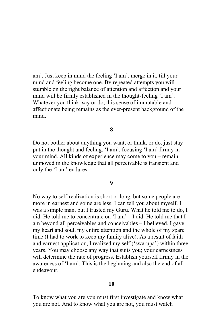am'. Just keep in mind the feeling 'I am', merge in it, till your mind and feeling become one. By repeated attempts you will stumble on the right balance of attention and affection and your mind will be firmly established in the thought-feeling 'I am'. Whatever you think, say or do, this sense of immutable and affectionate being remains as the ever-present background of the mind

8

Do not bother about anything you want, or think, or do, just stay put in the thought and feeling, 'I am', focusing 'I am' firmly in your mind. All kinds of experience may come to you – remain unmoved in the knowledge that all perceivable is transient and only the 'I am' endures.

# $\boldsymbol{Q}$

No way to self-realization is short or long, but some people are more in earnest and some are less. I can tell you about myself. I was a simple man, but I trusted my Guru. What he told me to do, I did. He told me to concentrate on 'I am' - I did. He told me that I am beyond all perceivables and conceivables - I believed. I gave my heart and soul, my entire attention and the whole of my spare time (I had to work to keep my family alive). As a result of faith and earnest application, I realized my self ('swarupa') within three years. You may choose any way that suits you; your earnestness will determine the rate of progress. Establish yourself firmly in the awareness of 'I am'. This is the beginning and also the end of all endeavour

# 10

To know what you are you must first investigate and know what you are not. And to know what you are not, you must watch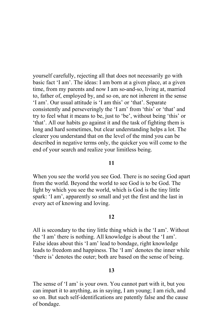yourself carefully, rejecting all that does not necessarily go with basic fact 'I am'. The ideas: I am born at a given place, at a given time, from my parents and now I am so-and-so, living at, married to, father of, employed by, and so on, are not inherent in the sense 'I am'. Our usual attitude is 'I am this' or 'that'. Separate consistently and perseveringly the 'I am' from 'this' or 'that' and try to feel what it means to be, just to 'be', without being 'this' or 'that'. All our habits go against it and the task of fighting them is long and hard sometimes, but clear understanding helps a lot. The clearer you understand that on the level of the mind you can be described in negative terms only, the quicker you will come to the end of your search and realize your limitless being.

# $11$

When you see the world you see God. There is no seeing God apart from the world. Beyond the world to see God is to be God. The light by which you see the world, which is God is the tiny little spark: 'I am', apparently so small and yet the first and the last in every act of knowing and loving.

# $12$

All is secondary to the tiny little thing which is the 'I am'. Without the 'I am' there is nothing. All knowledge is about the 'I am'. False ideas about this 'I am' lead to bondage, right knowledge leads to freedom and happiness. The 'I am' denotes the inner while 'there is' denotes the outer; both are based on the sense of being.

## 13

The sense of 'I am' is your own. You cannot part with it, but you can impart it to anything, as in saying, I am young; I am rich, and so on. But such self-identifications are patently false and the cause of bondage.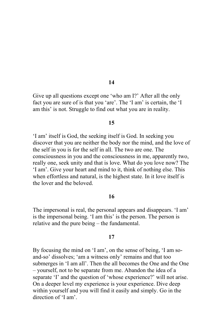Give up all questions except one 'who am I?' After all the only fact you are sure of is that you 'are'. The 'I am' is certain, the 'I am this' is not. Struggle to find out what you are in reality.

## 15

'I am' itself is God, the seeking itself is God. In seeking you discover that you are neither the body nor the mind, and the love of the self in you is for the self in all. The two are one. The consciousness in you and the consciousness in me, apparently two, really one, seek unity and that is love. What do you love now? The 'I am'. Give your heart and mind to it, think of nothing else. This when effortless and natural, is the highest state. In it love itself is the lover and the beloved

# 16

The impersonal is real, the personal appears and disappears. 'I am' is the impersonal being. 'I am this' is the person. The person is relative and the pure being – the fundamental.

## 17

By focusing the mind on 'I am', on the sense of being, 'I am soand-so' dissolves; 'am a witness only' remains and that too submerges in 'I am all'. Then the all becomes the One and the One - yourself, not to be separate from me. Abandon the idea of a separate 'I' and the question of 'whose experience?' will not arise. On a deeper level my experience is your experience. Dive deep within yourself and you will find it easily and simply. Go in the direction of 'I am'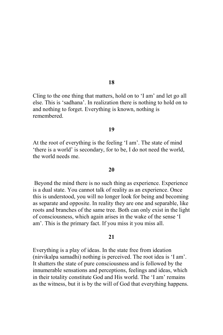Cling to the one thing that matters, hold on to 'I am' and let go all else. This is 'sadhana'. In realization there is nothing to hold on to and nothing to forget. Everything is known, nothing is remembered

## 19

At the root of everything is the feeling 'I am'. The state of mind 'there is a world' is secondary, for to be, I do not need the world, the world needs me

## 20

Beyond the mind there is no such thing as experience. Experience is a dual state. You cannot talk of reality as an experience. Once this is understood, you will no longer look for being and becoming as separate and opposite. In reality they are one and separable, like roots and branches of the same tree. Both can only exist in the light of consciousness, which again arises in the wake of the sense 'I am'. This is the primary fact. If you miss it you miss all.

# $21$

Everything is a play of ideas. In the state free from ideation (nirvikalpa samadhi) nothing is perceived. The root idea is 'I am'. It shatters the state of pure consciousness and is followed by the innumerable sensations and perceptions, feelings and ideas, which in their totality constitute God and His world. The 'I am' remains as the witness, but it is by the will of God that everything happens.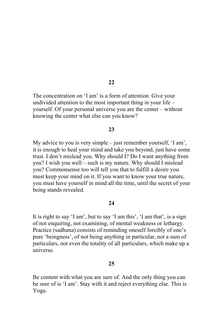The concentration on 'I am' is a form of attention. Give your undivided attention to the most important thing in your life – yourself. Of your personal universe you are the center – without knowing the center what else can you know?

# 23

My advice to you is very simple – just remember yourself, 'I am', it is enough to heal your mind and take you beyond, just have some trust. I don't mislead you. Why should I? Do I want anything from you? I wish you well – such is my nature. Why should I mislead you? Commonsense too will tell you that to fulfill a desire you must keep your mind on it. If you want to know your true nature, you must have yourself in mind all the time, until the secret of your being stands revealed.

# 24

It is right to say 'I am', but to say 'I am this', 'I am that', is a sign of not enquiring, not examining, of mental weakness or lethargy. Practice (sadhana) consists of reminding oneself forcibly of one's pure 'beingness', of not being anything in particular, not a sum of particulars, not even the totality of all particulars, which make up a universe

# 25

Be content with what you are sure of. And the only thing you can be sure of is 'I am'. Stay with it and reject everything else. This is Yoga.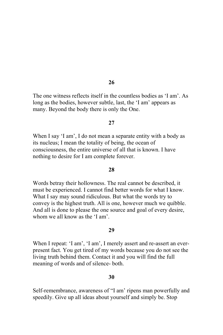The one witness reflects itself in the countless bodies as 'I am' As long as the bodies, however subtle, last, the 'I am' appears as many. Beyond the body there is only the One.

## 27

When I say 'I am', I do not mean a separate entity with a body as its nucleus; I mean the totality of being, the ocean of consciousness, the entire universe of all that is known. I have nothing to desire for I am complete forever.

## 28

Words betray their hollowness. The real cannot be described, it must be experienced. I cannot find better words for what I know. What I say may sound ridiculous. But what the words try to convey is the highest truth. All is one, however much we quibble. And all is done to please the one source and goal of every desire. whom we all know as the 'I am'.

## 29

When I repeat: 'I am', 'I am', I merely assert and re-assert an everpresent fact. You get tired of my words because you do not see the living truth behind them. Contact it and you will find the full meaning of words and of silence- both.

# 30

Self-remembrance, awareness of "I am' ripens man powerfully and speedily. Give up all ideas about yourself and simply be. Stop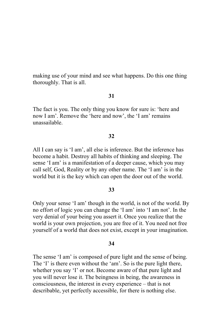making use of your mind and see what happens. Do this one thing thoroughly. That is all.

## 31

The fact is you. The only thing you know for sure is: 'here and now I am'. Remove the 'here and now', the 'I am' remains unassailable

# 32

All I can say is 'I am', all else is inference. But the inference has become a habit. Destroy all habits of thinking and sleeping. The sense 'I am' is a manifestation of a deeper cause, which you may call self, God, Reality or by any other name. The 'I am' is in the world but it is the key which can open the door out of the world.

## 33

Only your sense 'I am' though in the world, is not of the world. By no effort of logic you can change the 'I am' into 'I am not'. In the very denial of your being you assert it. Once you realize that the world is your own projection, you are free of it. You need not free yourself of a world that does not exist, except in your imagination.

## 34

The sense 'I am' is composed of pure light and the sense of being. The 'I' is there even without the 'am'. So is the pure light there, whether you say 'I' or not. Become aware of that pure light and you will never lose it. The beingness in being, the awareness in consciousness, the interest in every experience – that is not describable, yet perfectly accessible, for there is nothing else.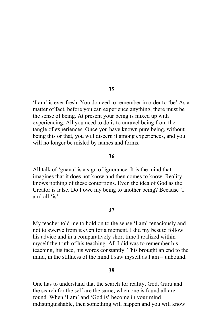'I am' is ever fresh. You do need to remember in order to 'be' As a matter of fact, before you can experience anything, there must be the sense of being. At present your being is mixed up with experiencing. All you need to do is to unravel being from the tangle of experiences. Once you have known pure being, without being this or that, you will discern it among experiences, and you will no longer be misled by names and forms.

# 36

All talk of 'gnana' is a sign of ignorance. It is the mind that imagines that it does not know and then comes to know. Reality knows nothing of these contortions. Even the idea of God as the Creator is false. Do I owe my being to another being? Because 'I am' all 'is'.

# 37

My teacher told me to hold on to the sense 'I am' tenaciously and not to swerve from it even for a moment. I did my best to follow his advice and in a comparatively short time I realized within myself the truth of his teaching. All I did was to remember his teaching, his face, his words constantly. This brought an end to the mind, in the stillness of the mind I saw myself as I am – unbound.

## 38

One has to understand that the search for reality, God, Guru and the search for the self are the same, when one is found all are found. When 'I am' and 'God is' become in your mind indistinguishable, then something will happen and you will know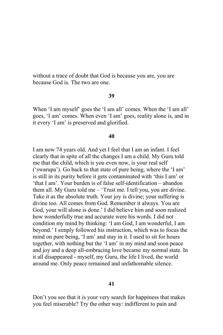without a trace of doubt that God is because you are, you are because God is The two are one

### 39

When 'I am myself' goes the 'I am all' comes. When the 'I am all' goes, 'I am' comes. When even 'I am' goes, reality alone is, and in it every 'I am' is preserved and glorified.

# 40

I am now 74 years old. And yet I feel that I am an infant. I feel clearly that in spite of all the changes I am a child. My Guru told me that the child, which is you even now, is your real self ('swarupa'). Go back to that state of pure being, where the 'I am' is still in its purity before it gets contaminated with 'this I am' or 'that I am'. Your burden is of false self-identification – abandon them all. My Guru told me  $-$  'Trust me. I tell you, you are divine. Take it as the absolute truth. Your joy is divine; your suffering is divine too. All comes from God. Remember it always. You are God, your will alone is done.' I did believe him and soon realized how wonderfully true and accurate were his words. I did not condition my mind by thinking: 'I am God, I am wonderful, I am beyond.' I simply followed his instruction, which was to focus the mind on pure being, 'I am' and stay in it. I used to sit for hours together, with nothing but the 'I am' in my mind and soon peace and joy and a deep all-embracing love became my normal state. In it all disappeared - myself, my Guru, the life I lived, the world around me. Only peace remained and unfathomable silence.

# 41

Don't you see that it is your very search for happiness that makes you feel miserable? Try the other way: indifferent to pain and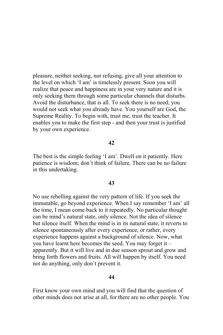pleasure, neither seeking, nor refusing, give all your attention to the level on which 'I am' is timelessly present. Soon you will realize that peace and happiness are in your very nature and it is only seeking them through some particular channels that disturbs. Avoid the disturbance, that is all. To seek there is no need; you would not seek what you already have. You yourself are God, the Supreme Reality. To begin with, trust me, trust the teacher. It enables you to make the first step - and then your trust is justified by your own experience.

# 42

The best is the simple feeling 'I am'. Dwell on it patiently. Here patience is wisdom; don't think of failure. There can be no failure in this undertaking.

## 43

No use rebelling against the very pattern of life. If you seek the immutable, go beyond experience. When I say remember 'I am' all the time. I mean come back to it repeatedly. No particular thought can be mind's natural state, only silence. Not the idea of silence but silence itself. When the mind is in its natural state, it reverts to silence spontaneously after every experience, or rather, every experience happens against a background of silence. Now, what you have learnt here becomes the seed. You may forget it – apparently. But it will live and in due season sprout and grow and bring forth flowers and fruits. All will happen by itself. You need not do anything, only don't prevent it.

# 44

First know your own mind and you will find that the question of other minds does not arise at all, for there are no other people. You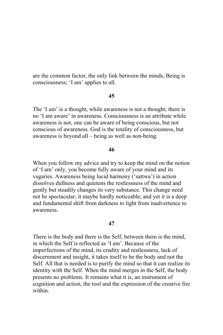are the common factor, the only link between the minds, Being is consciousness: 'I am' applies to all.

# 45

The 'I am' is a thought, while awareness is not a thought; there is no 'I am aware' in awareness. Consciousness is an attribute while awareness is not, one can be aware of being conscious, but not conscious of awareness. God is the totality of consciousness, but awareness is beyond all – being as well as non-being.

## 46

When you follow my advice and try to keep the mind on the notion of 'I am' only, you become fully aware of your mind and its vagaries. Awareness being lucid harmony ('sattwa') in action dissolves dullness and quietens the restlessness of the mind and gently but steadily changes its very substance. This change need not be spectacular; it maybe hardly noticeable; and yet it is a deep and fundamental shift from darkness to light from inadvertence to awareness

# 47

There is the body and there is the Self, between them is the mind, in which the Self is reflected as 'I am'. Because of the imperfections of the mind, its crudity and restlessness, lack of discernment and insight, it takes itself to be the body and not the Self. All that is needed is to purify the mind so that it can realize its identity with the Self. When the mind merges in the Self, the body presents no problems. It remains what it is, an instrument of cognition and action, the tool and the expression of the creative fire within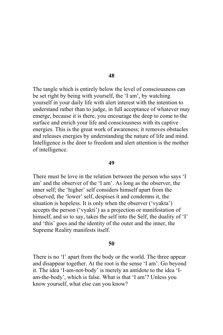The tangle which is entirely below the level of consciousness can be set right by being with yourself, the 'I am', by watching yourself in your daily life with a lert interest with the intention to understand rather than to judge, in full acceptance of whatever may emerge, because it is there, you encourage the deep to come to the surface and enrich your life and consciousness with its captive energies. This is the great work of awareness; it removes obstacles and releases energies by understanding the nature of life and mind. Intelligence is the door to freedom and alert attention is the mother of intelligence.

#### 49

There must be love in the relation between the person who says 'I am' and the observer of the 'I am'. As long as the observer, the inner self; the 'higher' self considers himself apart from the observed, the 'lower' self, despises it and condemns it, the situation is hopeless. It is only when the observer ('vyakta') accepts the person ('vyakti') as a projection or manifestation of himself, and so to say, takes the self into the Self, the duality of 'I' and 'this' goes and the identity of the outer and the inner, the Supreme Reality manifests itself.

## 50

There is no 'I' apart from the body or the world. The three appear and disappear together. At the root is the sense 'I am'. Go beyond it. The idea 'I-am-not-body' is merely an antidote to the idea 'Iam-the-body', which is false. What is that 'I am'? Unless you know yourself, what else can you know?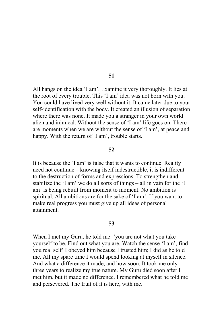All hangs on the idea 'I am'. Examine it very thoroughly. It lies at the root of every trouble. This 'I am' idea was not born with you. You could have lived very well without it. It came later due to your self-identification with the body. It created an illusion of separation where there was none. It made you a stranger in your own world alien and inimical. Without the sense of 'I am' life goes on. There are moments when we are without the sense of 'I am', at peace and happy. With the return of 'I am', trouble starts.

#### 52

It is because the 'I am' is false that it wants to continue. Reality need not continue – knowing itself indestructible, it is indifferent to the destruction of forms and expressions. To strengthen and stabilize the 'I am' we do all sorts of things – all in vain for the 'I am' is being rebuilt from moment to moment. No ambition is spiritual. All ambitions are for the sake of 'I am'. If you want to make real progress you must give up all ideas of personal attainment

## 53

When I met my Guru, he told me: 'you are not what you take yourself to be. Find out what you are. Watch the sense 'I am', find you real self' I obeyed him because I trusted him; I did as he told me. All my spare time I would spend looking at myself in silence. And what a difference it made, and how soon. It took me only three years to realize my true nature. My Guru died soon after I met him, but it made no difference. I remembered what he told me and persevered. The fruit of it is here, with me.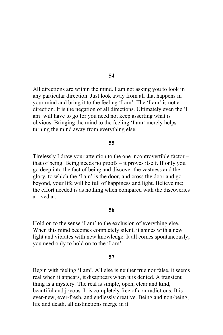All directions are within the mind. I am not asking you to look in any particular direction. Just look away from all that happens in your mind and bring it to the feeling 'I am'. The 'I am' is not a direction. It is the negation of all directions. Ultimately even the 'I am' will have to go for you need not keep asserting what is obvious. Bringing the mind to the feeling 'I am' merely helps turning the mind away from everything else.

#### 55

Tirelessly I draw your attention to the one incontrovertible factor – that of being. Being needs no proofs – it proves itself. If only you go deep into the fact of being and discover the vastness and the glory, to which the 'I am' is the door, and cross the door and go beyond, your life will be full of happiness and light. Believe me; the effort needed is as nothing when compared with the discoveries arrived at.

# 56

Hold on to the sense 'I am' to the exclusion of everything else. When this mind becomes completely silent, it shines with a new light and vibrates with new knowledge. It all comes spontaneously; you need only to hold on to the 'I am'.

#### 57

Begin with feeling 'I am'. All else is neither true nor false, it seems real when it appears, it disappears when it is denied. A transient thing is a mystery. The real is simple, open, clear and kind, beautiful and joyous. It is completely free of contradictions. It is ever-new, ever-fresh, and endlessly creative. Being and non-being, life and death, all distinctions merge in it.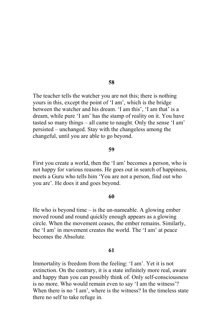The teacher tells the watcher you are not this; there is nothing yours in this, except the point of 'I am', which is the bridge between the watcher and his dream. 'I am this', 'I am that' is a dream, while pure 'I am' has the stamp of reality on it. You have tasted so many things – all came to naught. Only the sense 'I am' persisted – unchanged. Stay with the changeless among the changeful, until you are able to go beyond.

#### 59

First you create a world, then the 'I am' becomes a person, who is not happy for various reasons. He goes out in search of happiness, meets a Guru who tells him 'You are not a person, find out who you are'. He does it and goes beyond.

#### 60

He who is beyond time  $-$  is the un-nameable. A glowing ember moved round and round quickly enough appears as a glowing circle. When the movement ceases, the ember remains. Similarly, the 'I am' in movement creates the world. The 'I am' at peace becomes the Absolute.

## 61

Immortality is freedom from the feeling: 'I am'. Yet it is not extinction. On the contrary, it is a state infinitely more real, aware and happy than you can possibly think of. Only self-consciousness is no more. Who would remain even to say 'I am the witness'? When there is no 'I am', where is the witness? In the timeless state there no self to take refuge in.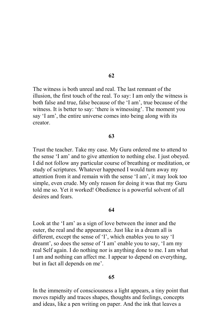The witness is both unreal and real. The last remnant of the illusion, the first touch of the real. To say: I am only the witness is both false and true, false because of the 'I am', true because of the witness. It is better to say: 'there is witnessing'. The moment you say 'I am', the entire universe comes into being along with its creator

#### 63

Trust the teacher. Take my case. My Guru ordered me to attend to the sense 'I am' and to give attention to nothing else. I just obeyed. I did not follow any particular course of breathing or meditation, or study of scriptures. Whatever happened I would turn away my attention from it and remain with the sense 'I am', it may look too simple, even crude. My only reason for doing it was that my Guru told me so. Yet it worked! Obedience is a powerful solvent of all desires and fears.

# 64

Look at the 'I am' as a sign of love between the inner and the outer, the real and the appearance. Just like in a dream all is different, except the sense of 'I', which enables you to say 'I dreamt', so does the sense of 'I am' enable you to say, 'I am my real Self again. I do nothing nor is anything done to me. I am what I am and nothing can affect me. I appear to depend on everything, but in fact all depends on me'.

# 65

In the immensity of consciousness a light appears, a tiny point that moves rapidly and traces shapes, thoughts and feelings, concepts and ideas, like a pen writing on paper. And the ink that leaves a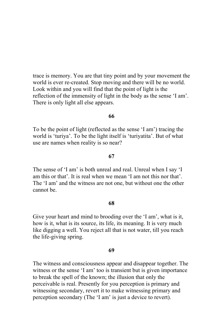trace is memory. You are that tiny point and by your movement the world is ever re-created. Stop moving and there will be no world. Look within and you will find that the point of light is the reflection of the immensity of light in the body as the sense 'I am'. There is only light all else appears.

# 66

To be the point of light (reflected as the sense 'I am') tracing the world is 'turiya'. To be the light itself is 'turiyatita'. But of what use are names when reality is so near?

# 67

The sense of 'I am' is both unreal and real. Unreal when I say 'I am this or that'. It is real when we mean 'I am not this nor that'. The 'I am' and the witness are not one, but without one the other cannot be

## 68

Give your heart and mind to brooding over the 'I am', what is it, how is it, what is its source, its life, its meaning. It is very much like digging a well. You reject all that is not water, till you reach the life-giving spring.

## 69

The witness and consciousness appear and disappear together. The witness or the sense 'I am' too is transient but is given importance to break the spell of the known; the illusion that only the perceivable is real. Presently for you perception is primary and witnessing secondary, revert it to make witnessing primary and perception secondary (The 'I am' is just a device to revert).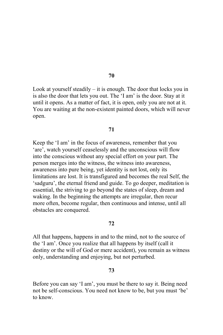Look at yourself steadily  $-$  it is enough. The door that locks you in is also the door that lets you out. The 'I am' is the door. Stay at it until it opens. As a matter of fact, it is open, only you are not at it. You are waiting at the non-existent painted doors, which will never open.

# 71

Keep the 'I am' in the focus of awareness, remember that you 'are', watch yourself ceaselessly and the unconscious will flow into the conscious without any special effort on your part. The person merges into the witness, the witness into awareness, awareness into pure being, yet identity is not lost, only its limitations are lost. It is transfigured and becomes the real Self, the 'sadguru', the eternal friend and guide. To go deeper, meditation is essential, the striving to go beyond the states of sleep, dream and waking. In the beginning the attempts are irregular, then recur more often, become regular, then continuous and intense, until all obstacles are conquered.

# 72

All that happens, happens in and to the mind, not to the source of the 'I am'. Once you realize that all happens by itself (call it destiny or the will of God or mere accident), you remain as witness only, understanding and enjoying, but not perturbed.

## 73

Before you can say 'I am', you must be there to say it. Being need not be self-conscious. You need not know to be, but you must 'be' to know

## 70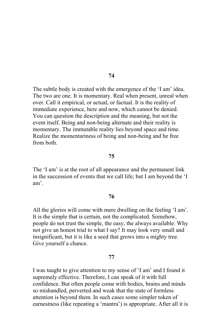The subtle body is created with the emergence of the 'I am' idea. The two are one. It is momentary. Real when present, unreal when over. Call it empirical, or actual, or factual. It is the reality of immediate experience, here and now, which cannot be denied. You can question the description and the meaning, but not the event itself. Being and non-being alternate and their reality is momentary. The immutable reality lies beyond space and time. Realize the momentariness of being and non-being and be free from both

## 75

The 'I am' is at the root of all appearance and the permanent link in the succession of events that we call life; but I am beyond the 'I am'

## 76

All the glories will come with mere dwelling on the feeling 'I am'. It is the simple that is certain, not the complicated. Somehow, people do not trust the simple, the easy, the always available. Why not give an honest trial to what I say? It may look very small and insignificant, but it is like a seed that grows into a mighty tree. Give yourself a chance.

#### 77

I was taught to give attention to my sense of 'I am' and I found it supremely effective. Therefore, I can speak of it with full confidence. But often people come with bodies, brains and minds so mishandled, perverted and weak that the state of formless attention is beyond them. In such cases some simpler token of earnestness (like repeating a 'mantra') is appropriate. After all it is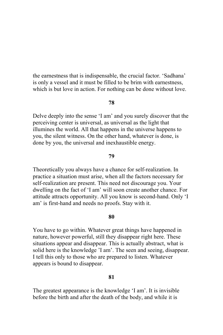the earnestness that is indispensable, the crucial factor. 'Sadhana' is only a vessel and it must be filled to be brim with earnestness. which is but love in action. For nothing can be done without love.

## 78

Delve deeply into the sense 'I am' and you surely discover that the perceiving center is universal, as universal as the light that illumines the world. All that happens in the universe happens to you, the silent witness. On the other hand, whatever is done, is done by you, the universal and inexhaustible energy.

# 79

Theoretically you always have a chance for self-realization. In practice a situation must arise, when all the factors necessary for self-realization are present. This need not discourage you. Your dwelling on the fact of 'I am' will soon create another chance. For attitude attracts opportunity. All you know is second-hand. Only 'I am' is first-hand and needs no proofs. Stay with it.

## 80

You have to go within. Whatever great things have happened in nature, however powerful, still they disappear right here. These situations appear and disappear. This is actually abstract, what is solid here is the knowledge 'I am'. The seen and seeing, disappear. I tell this only to those who are prepared to listen. Whatever appears is bound to disappear.

# 81

The greatest appearance is the knowledge 'I am'. It is invisible before the birth and after the death of the body, and while it is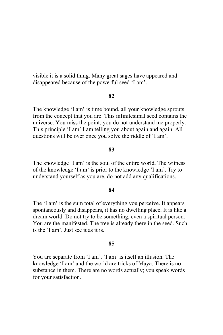visible it is a solid thing. Many great sages have appeared and disappeared because of the powerful seed 'I am'.

# 82

The knowledge 'I am' is time bound, all your knowledge sprouts from the concept that you are. This infinitesimal seed contains the universe. You miss the point; you do not understand me properly. This principle 'I am' I am telling you about again and again. All questions will be over once you solve the riddle of 'I am'.

# 83

The knowledge 'I am' is the soul of the entire world. The witness of the knowledge 'I am' is prior to the knowledge 'I am'. Try to understand yourself as you are, do not add any qualifications.

#### 84

The 'I am' is the sum total of everything you perceive. It appears spontaneously and disappears, it has no dwelling place. It is like a dream world. Do not try to be something, even a spiritual person. You are the manifested. The tree is already there in the seed. Such is the 'I am' Just see it as it is

## 85

You are separate from 'I am'. 'I am' is itself an illusion. The knowledge 'I am' and the world are tricks of Maya. There is no substance in them. There are no words actually; you speak words for your satisfaction.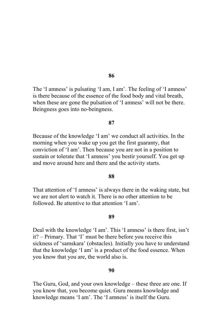The 'I amness' is pulsating 'I am, I am'. The feeling of 'I amness' is there because of the essence of the food body and vital breath, when these are gone the pulsation of 'I amness' will not be there. Beingness goes into no-beingness.

#### 87

Because of the knowledge 'I am' we conduct all activities. In the morning when you wake up you get the first guaranty, that conviction of 'I am'. Then because you are not in a position to sustain or tolerate that 'I amness' you bestir yourself. You get up and move around here and there and the activity starts.

## 88

That attention of 'I amness' is always there in the waking state, but we are not alert to watch it. There is no other attention to be followed Be attentive to that attention 'I am'

# 89

Deal with the knowledge 'I am'. This 'I amness' is there first, isn't it? - Primary. That 'I' must be there before you receive this sickness of 'samskara' (obstacles). Initially you have to understand that the knowledge 'I am' is a product of the food essence. When you know that you are, the world also is.

## 90

The Guru, God, and your own knowledge – these three are one. If you know that, you become quiet. Guru means knowledge and knowledge means 'I am'. The 'I amness' is itself the Guru.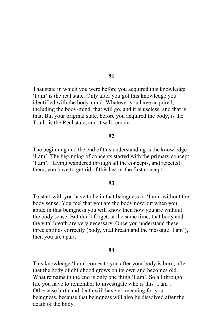That state in which you were before you acquired this knowledge 'I am' is the real state. Only after you got this knowledge you identified with the body-mind. Whatever you have acquired, including the body-mind, that will go, and it is useless, and that is that. But your original state, before you acquired the body, is the Truth, is the Real state, and it will remain.

# 92

The beginning and the end of this understanding is the knowledge 'I am'. The beginning of concepts started with the primary concept 'I am'. Having wandered through all the concepts, and rejected them, you have to get rid of this last or the first concept.

# 93

To start with you have to be in that beingness or 'I am' without the body sense. You feel that you are the body now but when you abide in that beingness you will know then how you are without the body sense. But don't forget, at the same time; that body and the vital breath are very necessary. Once you understand these three entities correctly (body, vital breath and the message 'I am'), then you are apart.

#### 94

This knowledge 'I am' comes to you after your body is born, after that the body of childhood grows on its own and becomes old. What remains in the end is only one thing 'I am'. So all through life you have to remember to investigate who is this 'I am'. Otherwise birth and death will have no meaning for your beingness, because that beingness will also be dissolved after the death of the body.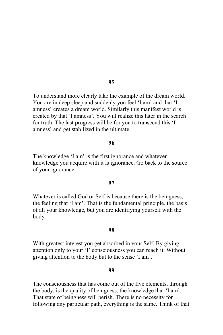To understand more clearly take the example of the dream world. You are in deep sleep and suddenly you feel 'I am' and that 'I amness' creates a dream world. Similarly this manifest world is created by that 'I amness'. You will realize this later in the search for truth. The last progress will be for you to transcend this 'I amness' and get stabilized in the ultimate.

## 96

The knowledge 'I am' is the first ignorance and whatever knowledge you acquire with it is ignorance. Go back to the source of your ignorance.

#### 97

Whatever is called God or Self is because there is the beingness, the feeling that 'I am'. That is the fundamental principle, the basis of all your knowledge, but you are identifying yourself with the body.

## 98

With greatest interest you get absorbed in your Self. By giving attention only to your 'I' consciousness you can reach it. Without giving attention to the body but to the sense 'I am'.

## 99

The consciousness that has come out of the five elements, through the body, is the quality of beingness, the knowledge that 'I am'. That state of beingness will perish. There is no necessity for following any particular path, everything is the same. Think of that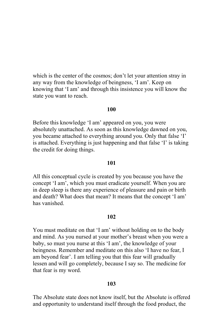which is the center of the cosmos; don't let your attention stray in any way from the knowledge of beingness, 'I am'. Keep on knowing that 'I am' and through this insistence you will know the state you want to reach.

# 100

Before this knowledge 'I am' appeared on you, you were absolutely unattached. As soon as this knowledge dawned on you, you became attached to everything around you. Only that false 'I' is attached. Everything is just happening and that false 'I' is taking the credit for doing things.

# 101

All this conceptual cycle is created by you because you have the concept 'I am', which you must eradicate yourself. When you are in deep sleep is there any experience of pleasure and pain or birth and death? What does that mean? It means that the concept 'I am' has vanished

# 102

You must meditate on that 'I am' without holding on to the body and mind. As you nursed at your mother's breast when you were a baby, so must you nurse at this 'I am', the knowledge of your beingness. Remember and meditate on this also 'I have no fear, I am beyond fear'. I am telling you that this fear will gradually lessen and will go completely, because I say so. The medicine for that fear is my word.

# 103

The Absolute state does not know itself, but the Absolute is offered and opportunity to understand itself through the food product, the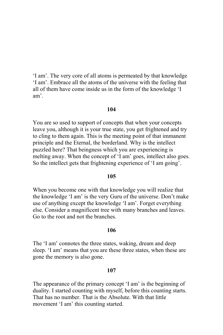'I am'. The very core of all atoms is permeated by that knowledge 'I am'. Embrace all the atoms of the universe with the feeling that all of them have come inside us in the form of the knowledge 'I am'

# 104

You are so used to support of concepts that when your concepts leave you, although it is your true state, you get frightened and try to cling to them again. This is the meeting point of that immanent principle and the Eternal, the borderland. Why is the intellect puzzled here? That beingness which you are experiencing is melting away. When the concept of 'I am' goes, intellect also goes. So the intellect gets that frightening experience of 'I am going'.

# 105

When you become one with that knowledge you will realize that the knowledge 'I am' is the very Guru of the universe. Don't make use of anything except the knowledge 'I am'. Forget everything else. Consider a magnificent tree with many branches and leaves. Go to the root and not the branches.

# 106

The 'I am' connotes the three states, waking, dream and deep sleep. 'I am' means that you are these three states, when these are gone the memory is also gone.

## 107

The appearance of the primary concept 'I am' is the beginning of duality. I started counting with myself, before this counting starts. That has no number. That is the Absolute, With that little movement 'I am' this counting started.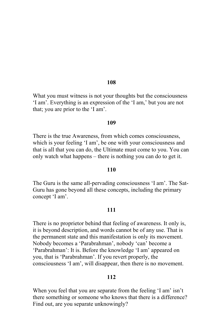What you must witness is not your thoughts but the consciousness 'I am'. Everything is an expression of the 'I am,' but you are not that; you are prior to the 'I am'.

#### 109

There is the true Awareness, from which comes consciousness, which is your feeling 'I am', be one with your consciousness and that is all that you can do, the Ultimate must come to you. You can only watch what happens – there is nothing you can do to get it.

## **110**

The Guru is the same all-pervading consciousness 'I am'. The Sat-Guru has gone beyond all these concepts, including the primary concept 'I am'.

#### 111

There is no proprietor behind that feeling of awareness. It only is, it is beyond description, and words cannot be of any use. That is the permanent state and this manifestation is only its movement. Nobody becomes a 'Parabrahman', nobody 'can' become a 'Parabrahman': It is. Before the knowledge 'I am' appeared on you, that is 'Parabrahman'. If you revert properly, the consciousness 'I am', will disappear, then there is no movement.

# 112

When you feel that you are separate from the feeling 'I am' isn't there something or someone who knows that there is a difference? Find out, are you separate unknowingly?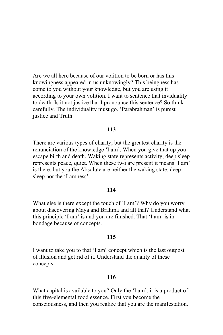Are we all here because of our volition to be born or has this knowingness appeared in us unknowingly? This beingness has come to you without your knowledge, but you are using it according to your own volition. I want to sentence that inviduality to death. Is it not justice that I pronounce this sentence? So think carefully. The individuality must go. 'Parabrahman' is purest justice and Truth.

# 113

There are various types of charity, but the greatest charity is the renunciation of the knowledge 'I am'. When you give that up you escape birth and death. Waking state represents activity; deep sleep represents peace, quiet. When these two are present it means 'I am' is there, but you the Absolute are neither the waking state, deep sleep nor the 'I amness'.

## 114

What else is there except the touch of 'I am'? Why do you worry about discovering Maya and Brahma and all that? Understand what this principle 'I am' is and you are finished. That 'I am' is in bondage because of concepts.

## 115

I want to take you to that 'I am' concept which is the last outpost of illusion and get rid of it. Understand the quality of these concepts.

# 116

What capital is available to you? Only the 'I am', it is a product of this five-elemental food essence. First you become the consciousness, and then you realize that you are the manifestation.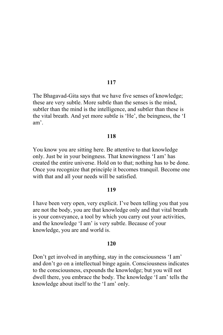The Bhagavad-Gita says that we have five senses of knowledge; these are very subtle. More subtle than the senses is the mind, subtler than the mind is the intelligence, and subtler than these is the vital breath. And yet more subtle is 'He', the beingness, the 'I am'

## 118

You know you are sitting here. Be attentive to that knowledge only. Just be in your beingness. That knowingness 'I am' has created the entire universe. Hold on to that; nothing has to be done. Once you recognize that principle it becomes tranquil. Become one with that and all your needs will be satisfied.

### 119

I have been very open, very explicit. I've been telling you that you are not the body, you are that knowledge only and that vital breath is your conveyance, a tool by which you carry out your activities, and the knowledge 'I am' is very subtle. Because of your knowledge, you are and world is.

#### 120

Don't get involved in anything, stay in the consciousness 'I am' and don't go on a intellectual binge again. Consciousness indicates to the consciousness, expounds the knowledge; but you will not dwell there, you embrace the body. The knowledge 'I am' tells the knowledge about itself to the 'I am' only.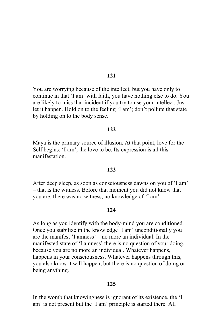You are worrying because of the intellect, but you have only to continue in that 'I am' with faith, you have nothing else to do. You are likely to miss that incident if you try to use your intellect. Just let it happen. Hold on to the feeling 'I am'; don't pollute that state by holding on to the body sense.

# $122.$

Maya is the primary source of illusion. At that point, love for the Self begins: 'I am', the love to be. Its expression is all this manifestation

## 123

After deep sleep, as soon as consciousness dawns on you of 'I am' - that is the witness. Before that moment you did not know that you are, there was no witness, no knowledge of 'I am'.

# 124

As long as you identify with the body-mind you are conditioned. Once you stabilize in the knowledge 'I am' unconditionally you are the manifest 'I amness' – no more an individual. In the manifested state of 'I amness' there is no question of your doing, because you are no more an individual. Whatever happens, happens in your consciousness. Whatever happens through this, you also know it will happen, but there is no question of doing or being anything.

# 125

In the womb that knowingness is ignorant of its existence, the 'I am' is not present but the 'I am' principle is started there. All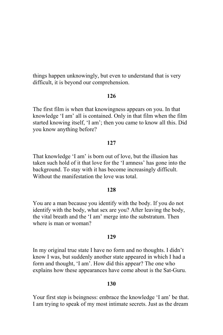things happen unknowingly, but even to understand that is very difficult, it is beyond our comprehension.

# 126

The first film is when that knowingness appears on you. In that knowledge 'I am' all is contained. Only in that film when the film started knowing itself, 'I am'; then you came to know all this. Did you know anything before?

# 127

That knowledge 'I am' is born out of love, but the illusion has taken such hold of it that love for the 'I amness' has gone into the background. To stay with it has become increasingly difficult. Without the manifestation the love was total

# 128

You are a man because you identify with the body. If you do not identify with the body, what sex are you? After leaving the body, the vital breath and the 'I am' merge into the substratum. Then where is man or woman?

### 129

In my original true state I have no form and no thoughts. I didn't know I was, but suddenly another state appeared in which I had a form and thought, 'I am'. How did this appear? The one who explains how these appearances have come about is the Sat-Guru.

## 130

Your first step is beingness: embrace the knowledge 'I am' be that. I am trying to speak of my most intimate secrets. Just as the dream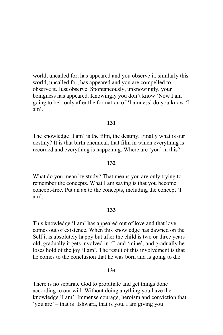world, uncalled for, has appeared and you observe it, similarly this world, uncalled for, has appeared and you are compelled to observe it. Just observe. Spontaneously, unknowingly, your beingness has appeared. Knowingly you don't know 'Now I am going to be'; only after the formation of 'I amness' do you know 'I  $am'$ .

# 131

The knowledge 'I am' is the film, the destiny. Finally what is our destiny? It is that birth chemical, that film in which everything is recorded and everything is happening. Where are 'you' in this?

## 132

What do you mean by study? That means you are only trying to remember the concepts. What I am saying is that you become concept-free. Put an ax to the concepts, including the concept 'I  $am'$ .

#### 133

This knowledge 'I am' has appeared out of love and that love comes out of existence. When this knowledge has dawned on the Self it is absolutely happy but after the child is two or three years old, gradually it gets involved in 'I' and 'mine', and gradually he loses hold of the joy 'I am'. The result of this involvement is that he comes to the conclusion that he was born and is going to die.

## 134

There is no separate God to propitiate and get things done according to our will. Without doing anything you have the knowledge 'I am'. Immense courage, heroism and conviction that 'you are' – that is 'Ishwara, that is you. I am giving you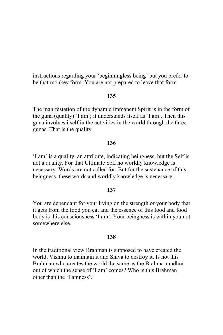instructions regarding your 'beginningless being' but you prefer to be that monkey form. You are not prepared to leave that form.

# 135

The manifestation of the dynamic immanent Spirit is in the form of the guna (quality) 'I am'; it understands itself as 'I am'. Then this guna involves itself in the activities in the world through the three gunas. That is the quality.

# 136

'I am' is a quality, an attribute, indicating beingness, but the Self is not a quality. For that Ultimate Self no worldly knowledge is necessary. Words are not called for. But for the sustenance of this beingness, these words and worldly knowledge is necessary.

### 137

You are dependant for your living on the strength of your body that it gets from the food you eat and the essence of this food and food body is this consciousness 'I am'. Your beingness is within you not somewhere else

### 138

In the traditional view Brahman is supposed to have created the world, Vishnu to maintain it and Shiva to destroy it. Is not this Brahman who creates the world the same as the Brahma-randhra out of which the sense of 'I am' comes? Who is this Brahman other than the 'I amness'.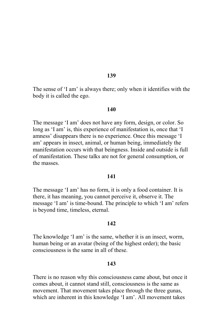The sense of 'I am' is always there; only when it identifies with the body it is called the ego.

### 140

The message 'I am' does not have any form, design, or color. So long as 'I am' is, this experience of manifestation is, once that 'I amness' disappears there is no experience. Once this message 'I am' appears in insect, animal, or human being, immediately the manifestation occurs with that beingness. Inside and outside is full of manifestation. These talks are not for general consumption, or the masses

### 141

The message 'I am' has no form, it is only a food container. It is there, it has meaning, you cannot perceive it, observe it. The message 'I am' is time-bound. The principle to which 'I am' refers is beyond time, timeless, eternal.

# 142

The knowledge 'I am' is the same, whether it is an insect, worm, human being or an avatar (being of the highest order); the basic consciousness is the same in all of these

### 143

There is no reason why this consciousness came about, but once it comes about, it cannot stand still, consciousness is the same as movement. That movement takes place through the three gunas, which are inherent in this knowledge 'I am'. All movement takes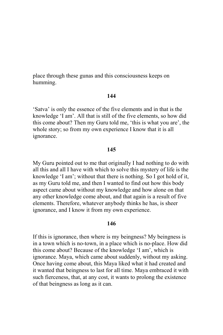place through these gunas and this consciousness keeps on humming.

# 144

'Satva' is only the essence of the five elements and in that is the knowledge 'I am'. All that is still of the five elements, so how did this come about? Then my Guru told me, 'this is what you are', the whole story; so from my own experience I know that it is all ignorance.

# 145

My Guru pointed out to me that originally I had nothing to do with all this and all I have with which to solve this mystery of life is the knowledge 'I am'; without that there is nothing. So I got hold of it, as my Guru told me, and then I wanted to find out how this body aspect came about without my knowledge and how alone on that any other knowledge come about, and that again is a result of five elements. Therefore, whatever anybody thinks he has, is sheer ignorance, and I know it from my own experience.

# 146

If this is ignorance, then where is my beingness? My beingness is in a town which is no-town, in a place which is no-place. How did this come about? Because of the knowledge 'I am', which is ignorance. Maya, which came about suddenly, without my asking. Once having come about, this Maya liked what it had created and it wanted that beingness to last for all time. Maya embraced it with such fierceness, that, at any cost, it wants to prolong the existence of that beingness as long as it can.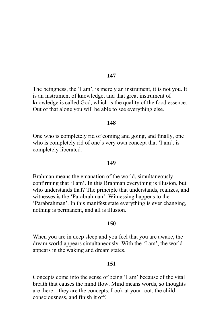The beingness, the 'I am', is merely an instrument, it is not you. It is an instrument of knowledge, and that great instrument of knowledge is called God, which is the quality of the food essence. Out of that alone you will be able to see everything else.

## 148

One who is completely rid of coming and going, and finally, one who is completely rid of one's very own concept that 'I am', is completely liberated.

### 149

Brahman means the emanation of the world, simultaneously confirming that 'I am'. In this Brahman everything is illusion, but who understands that? The principle that understands, realizes, and witnesses is the 'Parabrahman'. Witnessing happens to the 'Parabrahman'. In this manifest state everything is ever changing, nothing is permanent, and all is illusion.

# 150

When you are in deep sleep and you feel that you are awake, the dream world appears simultaneously. With the 'I am', the world appears in the waking and dream states.

## 151

Concepts come into the sense of being 'I am' because of the vital breath that causes the mind flow. Mind means words, so thoughts are there – they are the concepts. Look at your root, the child consciousness, and finish it off.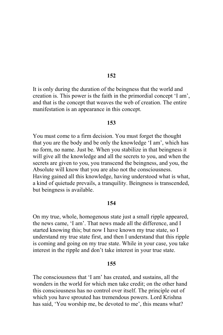It is only during the duration of the beingness that the world and creation is. This power is the faith in the primordial concept 'I am', and that is the concept that weaves the web of creation. The entire manifestation is an appearance in this concept.

### 153

You must come to a firm decision. You must forget the thought that you are the body and be only the knowledge 'I am', which has no form, no name. Just be. When you stabilize in that beingness it will give all the knowledge and all the secrets to you, and when the secrets are given to you, you transcend the beingness, and you, the Absolute will know that you are also not the consciousness. Having gained all this knowledge, having understood what is what, a kind of quietude prevails, a tranquility. Beingness is transcended, but beingness is available.

### 154

On my true, whole, homogenous state just a small ripple appeared, the news came, 'I am'. That news made all the difference, and I started knowing this; but now I have known my true state, so I understand my true state first, and then I understand that this ripple is coming and going on my true state. While in your case, you take interest in the ripple and don't take interest in your true state.

## 155

The consciousness that 'I am' has created, and sustains, all the wonders in the world for which men take credit; on the other hand this consciousness has no control over itself. The principle out of which you have sprouted has tremendous powers. Lord Krishna has said, 'You worship me, be devoted to me', this means what?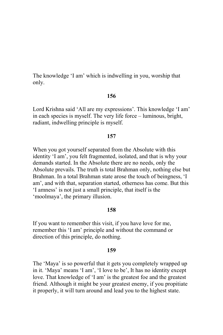The knowledge 'I am' which is indwelling in you, worship that only.

# 156

Lord Krishna said 'All are my expressions'. This knowledge 'I am' in each species is myself. The very life force – luminous, bright, radiant, indwelling principle is myself.

### 157

When you got yourself separated from the Absolute with this identity 'I am', you felt fragmented, isolated, and that is why your demands started. In the Absolute there are no needs, only the Absolute prevails. The truth is total Brahman only, nothing else but Brahman. In a total Brahman state arose the touch of beingness. 'I am', and with that, separation started, otherness has come. But this 'I amness' is not just a small principle, that itself is the 'moolmaya', the primary illusion.

### 158

If you want to remember this visit, if you have love for me, remember this 'I am' principle and without the command or direction of this principle, do nothing.

### 159

The 'Maya' is so powerful that it gets you completely wrapped up in it. 'Maya' means 'I am', 'I love to be', It has no identity except love. That knowledge of 'I am' is the greatest foe and the greatest friend. Although it might be your greatest enemy, if you propitiate it properly, it will turn around and lead you to the highest state.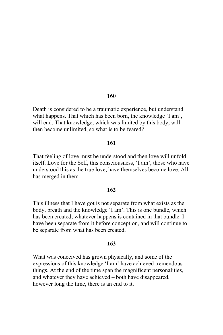Death is considered to be a traumatic experience, but understand what happens. That which has been born, the knowledge 'I am', will end. That knowledge, which was limited by this body, will then become unlimited, so what is to be feared?

# 161

That feeling of love must be understood and then love will unfold itself. Love for the Self, this consciousness, 'I am', those who have understood this as the true love, have themselves become love. All has merged in them.

### 162

This illness that I have got is not separate from what exists as the body, breath and the knowledge 'I am'. This is one bundle, which has been created; whatever happens is contained in that bundle. I have been separate from it before conception, and will continue to be separate from what has been created.

# 163

What was conceived has grown physically, and some of the expressions of this knowledge 'I am' have achieved tremendous things. At the end of the time span the magnificent personalities, and whatever they have achieved – both have disappeared, however long the time, there is an end to it.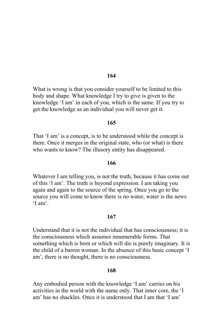What is wrong is that you consider yourself to be limited to this body and shape. What knowledge I try to give is given to the knowledge 'I am' in each of you, which is the same. If you try to get the knowledge as an individual you will never get it.

## 165

That 'I am' is a concept, is to be understood while the concept is there. Once it merges in the original state, who (or what) is there who wants to know? The illusory entity has disappeared.

# 166

Whatever I am telling you, is not the truth, because it has come out of this 'I am'. The truth is beyond expression. I am taking you again and again to the source of the spring. Once you go to the source you will come to know there is no water, water is the news  $T$  am'

### 167

Understand that it is not the individual that has consciousness; it is the consciousness which assumes innumerable forms. That something which is born or which will die is purely imaginary. It is the child of a barren woman. In the absence of this basic concept 'I am', there is no thought, there is no consciousness.

## 168

Any embodied person with the knowledge 'I am' carries on his activities in the world with the name only. That inner core, the 'I am' has no shackles. Once it is understood that I am that 'I am'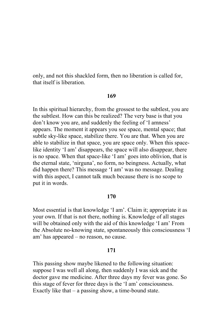only, and not this shackled form, then no liberation is called for, that itself is liberation.

### 169

In this spiritual hierarchy, from the grossest to the subtlest, you are the subtlest. How can this be realized? The very base is that you don't know you are, and suddenly the feeling of 'I amness' appears. The moment it appears you see space, mental space; that subtle sky-like space, stabilize there. You are that. When you are able to stabilize in that space, you are space only. When this spacelike identity 'I am' disappears, the space will also disappear, there is no space. When that space-like 'I am' goes into oblivion, that is the eternal state, 'nirguna', no form, no beingness. Actually, what did happen there? This message 'I am' was no message. Dealing with this aspect, I cannot talk much because there is no scope to put it in words.

## 170

Most essential is that knowledge 'I am'. Claim it: appropriate it as your own. If that is not there, nothing is. Knowledge of all stages will be obtained only with the aid of this knowledge 'I am' From the Absolute no-knowing state, spontaneously this consciousness 'I am' has appeared – no reason, no cause.

# 171

This passing show maybe likened to the following situation: suppose I was well all along, then suddenly I was sick and the doctor gave me medicine. After three days my fever was gone. So this stage of fever for three days is the 'I am' consciousness. Exactly like that  $-$  a passing show, a time-bound state.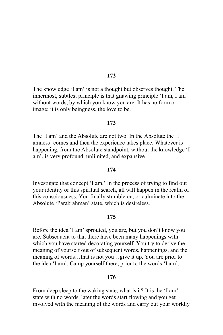The knowledge 'I am' is not a thought but observes thought. The innermost, subtlest principle is that gnawing principle 'I am, I am' without words, by which you know you are. It has no form or image; it is only beingness, the love to be.

### 173

The 'I am' and the Absolute are not two. In the Absolute the 'I amness' comes and then the experience takes place. Whatever is happening, from the Absolute standpoint, without the knowledge 'I am', is very profound, unlimited, and expansive

# 174

Investigate that concept 'I am.' In the process of trying to find out your identity or this spiritual search, all will happen in the realm of this consciousness. You finally stumble on, or culminate into the Absolute 'Parabrahman' state, which is desireless.

## 175

Before the idea 'I am' sprouted, you are, but you don't know you are. Subsequent to that there have been many happenings with which you have started decorating yourself. You try to derive the meaning of yourself out of subsequent words, happenings, and the meaning of words...that is not you...give it up. You are prior to the idea 'I am'. Camp yourself there, prior to the words 'I am'.

## 176

From deep sleep to the waking state, what is it? It is the 'I am' state with no words, later the words start flowing and you get involved with the meaning of the words and carry out your worldly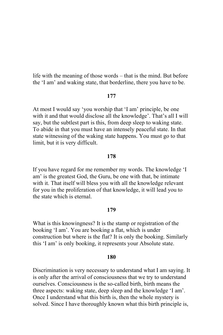life with the meaning of those words – that is the mind. But before the 'I am' and waking state, that borderline, there you have to be.

### 177

At most I would say 'you worship that 'I am' principle, be one with it and that would disclose all the knowledge'. That's all I will say, but the subtlest part is this, from deep sleep to waking state. To abide in that you must have an intensely peaceful state. In that state witnessing of the waking state happens. You must go to that limit, but it is very difficult.

# 178

If you have regard for me remember my words. The knowledge 'I am' is the greatest God, the Guru, be one with that, be intimate with it. That itself will bless you with all the knowledge relevant for you in the proliferation of that knowledge, it will lead you to the state which is eternal.

## 179

What is this knowingness? It is the stamp or registration of the booking 'I am'. You are booking a flat, which is under construction but where is the flat? It is only the booking. Similarly this 'I am' is only booking, it represents your Absolute state.

### 180

Discrimination is very necessary to understand what I am saying. It is only after the arrival of consciousness that we try to understand ourselves. Consciousness is the so-called birth, birth means the three aspects: waking state, deep sleep and the knowledge 'I am'. Once I understand what this birth is, then the whole mystery is solved. Since I have thoroughly known what this birth principle is,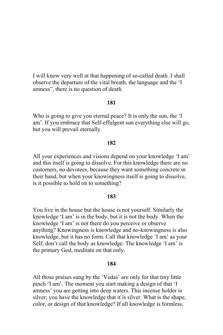I will know very well at that happening of so-called death. I shall observe the departure of the vital breath, the language and the 'I amness", there is no question of death.

# 181

Who is going to give you eternal peace? It is only the sun, the 'I am'. If you embrace that Self-effulgent sun everything else will go, but you will prevail eternally.

## 182

All your experiences and visions depend on your knowledge 'I am' and this itself is going to dissolve. For this knowledge there are no customers, no devotees, because they want something concrete in their hand, but when your knowingness itself is going to dissolve, is it possible to hold on to something?

## 183

You live in the house but the house is not yourself. Similarly the knowledge 'I am' is in the body, but it is not the body. When the knowledge 'I am' is not there do you perceive or observe anything? Knowingness is knowledge and no-knowingness is also knowledge, but it has no form. Call that knowledge 'I am' as your Self; don't call the body as knowledge. The knowledge 'I am' is the primary God, meditate on that only.

# 184

All those praises sung by the 'Vedas' are only for that tiny little pinch 'I am'. The moment you start making a design of that 'I amness' you are getting into deep waters. This incense holder is silver; you have the knowledge that it is silver. What is the shape, color, or design of that knowledge? If all knowledge is formless,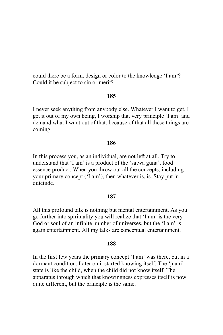could there be a form, design or color to the knowledge 'I am'? Could it be subject to sin or merit?

# 185

I never seek anything from anybody else. Whatever I want to get, I get it out of my own being. I worship that very principle 'I am' and demand what I want out of that; because of that all these things are coming.

## 186

In this process you, as an individual, are not left at all. Try to understand that 'I am' is a product of the 'satwa guna', food essence product. When you throw out all the concepts, including your primary concept ('I am'), then whatever is, is. Stay put in quietude.

### 187

All this profound talk is nothing but mental entertainment. As you go further into spirituality you will realize that 'I am' is the very God or soul of an infinite number of universes, but the 'I am' is again entertainment. All my talks are conceptual entertainment.

### 188

In the first few years the primary concept 'I am' was there, but in a dormant condition. Later on it started knowing itself. The 'jnani' state is like the child, when the child did not know itself. The apparatus through which that knowingness expresses itself is now quite different, but the principle is the same.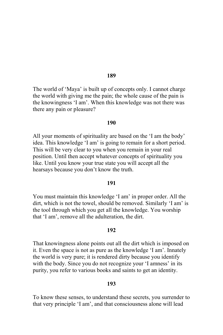The world of 'Maya' is built up of concepts only. I cannot charge the world with giving me the pain; the whole cause of the pain is the knowingness 'I am'. When this knowledge was not there was there any pain or pleasure?

### 190

All your moments of spirituality are based on the 'I am the body' idea. This knowledge 'I am' is going to remain for a short period. This will be very clear to you when you remain in your real position. Until then accept whatever concepts of spirituality you like. Until you know your true state you will accept all the hearsays because you don't know the truth.

## 191

You must maintain this knowledge 'I am' in proper order. All the dirt, which is not the towel, should be removed. Similarly 'I am' is the tool through which you get all the knowledge. You worship that 'I am', remove all the adulteration, the dirt.

### 192

That knowingness alone points out all the dirt which is imposed on it. Even the space is not as pure as the knowledge 'I am'. Innately the world is very pure; it is rendered dirty because you identify with the body. Since you do not recognize your 'I amness' in its purity, you refer to various books and saints to get an identity.

## 193

To know these senses, to understand these secrets, you surrender to that very principle 'I am', and that consciousness alone will lead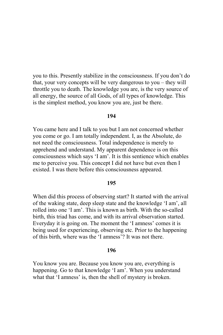you to this. Presently stabilize in the consciousness. If you don't do that, your very concepts will be very dangerous to you – they will throttle you to death. The knowledge you are, is the very source of all energy, the source of all Gods, of all types of knowledge. This is the simplest method, you know you are, just be there.

### 194

You came here and I talk to you but I am not concerned whether you come or go. I am totally independent. I, as the Absolute, do not need the consciousness. Total independence is merely to apprehend and understand. My apparent dependence is on this consciousness which says 'I am'. It is this sentience which enables me to perceive you. This concept I did not have but even then I existed. I was there before this consciousness appeared.

## 195

When did this process of observing start? It started with the arrival of the waking state, deep sleep state and the knowledge 'I am', all rolled into one 'I am'. This is known as birth. With the so-called birth, this triad has come, and with its arrival observation started. Everyday it is going on. The moment the 'I amness' comes it is being used for experiencing, observing etc. Prior to the happening of this birth, where was the 'I amness'? It was not there.

# 196

You know you are. Because you know you are, everything is happening. Go to that knowledge 'I am'. When you understand what that 'I amness' is, then the shell of mystery is broken.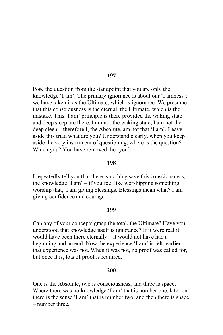Pose the question from the standpoint that you are only the knowledge 'I am'. The primary ignorance is about our 'I amness'. we have taken it as the Ultimate, which is ignorance. We presume that this consciousness is the eternal, the Ultimate, which is the mistake. This 'I am' principle is there provided the waking state and deep sleep are there. I am not the waking state, I am not the deep sleep – therefore I, the Absolute, am not that 'I am'. Leave aside this triad what are you? Understand clearly, when you keep aside the very instrument of questioning, where is the question? Which you? You have removed the 'you'.

### 198

I repeatedly tell you that there is nothing save this consciousness, the knowledge 'I am'  $-$  if you feel like worshipping something, worship that, I am giving blessings. Blessings mean what? I am giving confidence and courage.

#### 199

Can any of your concepts grasp the total, the Ultimate? Have you understood that knowledge itself is ignorance? If it were real it would have been there eternally – it would not have had a beginning and an end. Now the experience 'I am' is felt, earlier that experience was not. When it was not, no proof was called for, but once it is, lots of proof is required.

## 200

One is the Absolute, two is consciousness, and three is space. Where there was no knowledge 'I am' that is number one, later on there is the sense 'I am' that is number two, and then there is space - number three.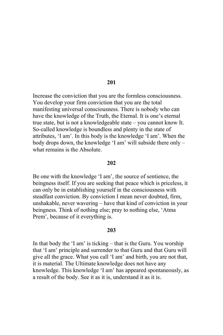Increase the conviction that you are the formless consciousness. You develop your firm conviction that you are the total manifesting universal consciousness. There is nobody who can have the knowledge of the Truth, the Eternal. It is one's eternal true state, but is not a knowledgeable state – you cannot know It. So-called knowledge is boundless and plenty in the state of attributes, 'I am'. In this body is the knowledge 'I am'. When the body drops down, the knowledge 'I am' will subside there only what remains is the Absolute.

## 202

Be one with the knowledge 'I am', the source of sentience, the beingness itself. If you are seeking that peace which is priceless, it can only be in establishing yourself in the consciousness with steadfast conviction. By conviction I mean never doubted, firm, unshakable, never wavering – have that kind of conviction in your beingness. Think of nothing else; pray to nothing else, 'Atma Prem', because of it everything is.

### 203

In that body the 'I am' is ticking  $-$  that is the Guru. You worship that 'I am' principle and surrender to that Guru and that Guru will give all the grace. What you call 'I am' and birth, you are not that, it is material. The Ultimate knowledge does not have any knowledge. This knowledge 'I am' has appeared spontaneously, as a result of the body. See it as it is, understand it as it is.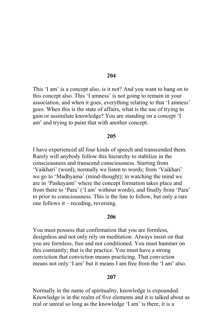This 'I am' is a concept also, is it not? And you want to hang on to this concept also. This 'I amness' is not going to remain in your association, and when it goes, everything relating to that 'I amness' goes. When this is the state of affairs, what is the use of trying to gain or assimilate knowledge? You are standing on a concept 'I am' and trying to paint that with another concept.

### 205

I have experienced all four kinds of speech and transcended them. Rarely will anybody follow this hierarchy to stabilize in the consciousness and transcend consciousness. Starting from 'Vaikhari' (word), normally we listen to words; from 'Vaikhari' we go to 'Madhyama' (mind-thought); in watching the mind we are in 'Pashayanti' where the concept formation takes place and from there to 'Para' ('I am' without words), and finally from 'Para' to prior to consciousness. This is the line to follow, but only a rare one follows it – receding, reversing.

# 206

You must possess that confirmation that you are formless, designless and not only rely on meditation. Always insist on that you are formless, free and not conditioned. You must hammer on this constantly; that is the practice. You must have a strong conviction that conviction means practicing. That conviction means not only 'I am' but it means I am free from the 'I am' also.

## 207

Normally in the name of spirituality, knowledge is expounded. Knowledge is in the realm of five elements and it is talked about as real or unreal so long as the knowledge 'I am' is there, it is a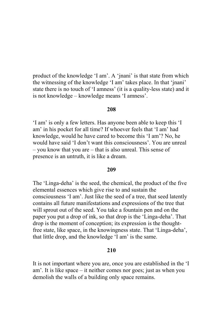product of the knowledge 'I am'. A 'jnani' is that state from which the witnessing of the knowledge 'I am' takes place. In that 'jnani' state there is no touch of 'I amness' (it is a quality-less state) and it is not knowledge – knowledge means 'I amness'.

# 208

'I am' is only a few letters. Has anyone been able to keep this 'I am' in his pocket for all time? If whoever feels that 'I am' had knowledge, would he have cared to become this 'I am'? No, he would have said 'I don't want this consciousness' You are unreal - you know that you are – that is also unreal. This sense of presence is an untruth, it is like a dream.

### 209

The 'Linga-deha' is the seed, the chemical, the product of the five elemental essences which give rise to and sustain the consciousness 'I am'. Just like the seed of a tree, that seed latently contains all future manifestations and expressions of the tree that will sprout out of the seed. You take a fountain pen and on the paper you put a drop of ink, so that drop is the 'Linga-deha'. That drop is the moment of conception; its expression is the thoughtfree state, like space, in the knowingness state. That 'Linga-deha', that little drop, and the knowledge 'I am' is the same.

# 210

It is not important where you are, once you are established in the 'I am'. It is like space – it neither comes nor goes; just as when you demolish the walls of a building only space remains.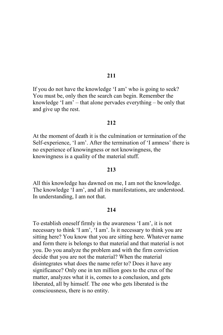If you do not have the knowledge 'I am' who is going to seek? You must be, only then the search can begin. Remember the knowledge 'I am' – that alone pervades everything – be only that and give up the rest.

# 212

At the moment of death it is the culmination or termination of the Self-experience, 'I am'. After the termination of 'I amness' there is no experience of knowingness or not knowingness, the knowingness is a quality of the material stuff.

# 213

All this knowledge has dawned on me, I am not the knowledge. The knowledge 'I am', and all its manifestations, are understood. In understanding, I am not that.

## 214

To establish oneself firmly in the awareness 'I am', it is not necessary to think 'I am', 'I am'. Is it necessary to think you are sitting here? You know that you are sitting here. Whatever name and form there is belongs to that material and that material is not you. Do you analyze the problem and with the firm conviction decide that you are not the material? When the material disintegrates what does the name refer to? Does it have any significance? Only one in ten million goes to the crux of the matter, analyzes what it is, comes to a conclusion, and gets liberated, all by himself. The one who gets liberated is the consciousness, there is no entity.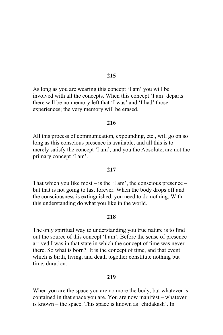As long as you are wearing this concept 'I am' you will be involved with all the concepts. When this concept 'I am' departs there will be no memory left that 'I was' and 'I had' those experiences; the very memory will be erased.

## 216

All this process of communication, expounding, etc., will go on so long as this conscious presence is available, and all this is to merely satisfy the concept 'I am', and you the Absolute, are not the primary concept 'I am'.

# 217

That which you like most  $-$  is the 'I am', the conscious presence  $$ but that is not going to last forever. When the body drops off and the consciousness is extinguished, you need to do nothing. With this understanding do what you like in the world.

# 218

The only spiritual way to understanding you true nature is to find out the source of this concept 'I am'. Before the sense of presence arrived I was in that state in which the concept of time was never there. So what is born? It is the concept of time, and that event which is birth, living, and death together constitute nothing but time, duration.

### 219

When you are the space you are no more the body, but whatever is contained in that space you are. You are now manifest – whatever is known – the space. This space is known as 'chidakash'. In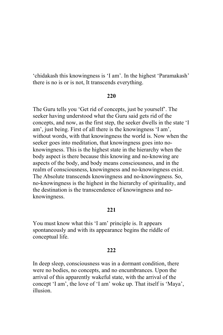'chidakash this knowingness is 'I am'. In the highest 'Paramakash' there is no is or is not. It transcends everything.

# 220

The Guru tells you 'Get rid of concepts, just be yourself'. The seeker having understood what the Guru said gets rid of the concepts, and now, as the first step, the seeker dwells in the state 'I am', just being. First of all there is the knowingness 'I am', without words, with that knowingness the world is. Now when the seeker goes into meditation, that knowingness goes into noknowingness. This is the highest state in the hierarchy when the body aspect is there because this knowing and no-knowing are aspects of the body, and body means consciousness, and in the realm of consciousness, knowingness and no-knowingness exist. The Absolute transcends knowingness and no-knowingness. So, no-knowingness is the highest in the hierarchy of spirituality, and the destination is the transcendence of knowingness and noknowingness.

# 221

You must know what this 'I am' principle is. It appears spontaneously and with its appearance begins the riddle of conceptual life.

# 222

In deep sleep, consciousness was in a dormant condition, there were no bodies, no concepts, and no encumbrances. Upon the arrival of this apparently wakeful state, with the arrival of the concept 'I am', the love of 'I am' woke up. That itself is 'Maya', illusion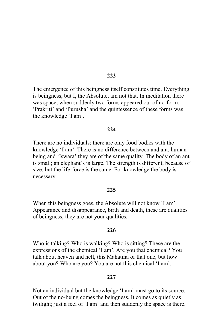The emergence of this beingness itself constitutes time. Everything is beingness, but I, the Absolute, am not that. In meditation there was space, when suddenly two forms appeared out of no-form, 'Prakriti' and 'Purusha' and the quintessence of these forms was the knowledge 'I am'.

### $224$

There are no individuals; there are only food bodies with the knowledge 'I am'. There is no difference between and ant, human being and 'Iswara' they are of the same quality. The body of an ant is small; an elephant's is large. The strength is different, because of size, but the life-force is the same. For knowledge the body is necessary.

### 225

When this beingness goes, the Absolute will not know 'I am'. Appearance and disappearance, birth and death, these are qualities of beingness; they are not your qualities.

### 226

Who is talking? Who is walking? Who is sitting? These are the expressions of the chemical 'I am'. Are you that chemical? You talk about heaven and hell, this Mahatma or that one, but how about you? Who are you? You are not this chemical 'I am'.

#### 227

Not an individual but the knowledge 'I am' must go to its source. Out of the no-being comes the beingness. It comes as quietly as twilight; just a feel of 'I am' and then suddenly the space is there.

## 223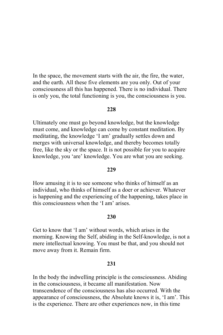In the space, the movement starts with the air, the fire, the water, and the earth. All these five elements are you only. Out of your consciousness all this has happened. There is no individual. There is only you, the total functioning is you, the consciousness is you.

# $228$

Ultimately one must go beyond knowledge, but the knowledge must come, and knowledge can come by constant meditation. By meditating, the knowledge 'I am' gradually settles down and merges with universal knowledge, and thereby becomes totally free, like the sky or the space. It is not possible for you to acquire knowledge, you 'are' knowledge. You are what you are seeking.

### 229

How amusing it is to see someone who thinks of himself as an individual, who thinks of himself as a doer or achiever. Whatever is happening and the experiencing of the happening, takes place in this consciousness when the 'I am' arises

# 230

Get to know that 'I am' without words, which arises in the morning. Knowing the Self, abiding in the Self-knowledge, is not a mere intellectual knowing. You must be that, and you should not move away from it. Remain firm.

## 231

In the body the indwelling principle is the consciousness. Abiding in the consciousness, it became all manifestation. Now transcendence of the consciousness has also occurred. With the appearance of consciousness, the Absolute knows it is, 'I am'. This is the experience. There are other experiences now, in this time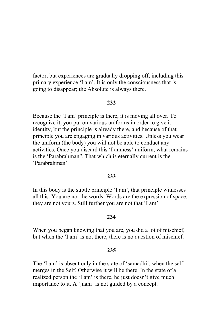factor, but experiences are gradually dropping off, including this primary experience 'I am'. It is only the consciousness that is going to disappear; the Absolute is always there.

### 232

Because the 'I am' principle is there, it is moving all over. To recognize it, you put on various uniforms in order to give it identity, but the principle is already there, and because of that principle you are engaging in various activities. Unless you wear the uniform (the body) you will not be able to conduct any activities. Once you discard this 'I amness' uniform, what remains is the 'Parabrahman''. That which is eternally current is the 'Parabrahman'

# 233

In this body is the subtle principle 'I am', that principle witnesses all this. You are not the words. Words are the expression of space, they are not yours. Still further you are not that 'I am'

# 234

When you began knowing that you are, you did a lot of mischief, but when the 'I am' is not there, there is no question of mischief.

### 235

The 'I am' is absent only in the state of 'samadhi', when the self merges in the Self. Otherwise it will be there. In the state of a realized person the 'I am' is there, he just doesn't give much importance to it. A 'jnani' is not guided by a concept.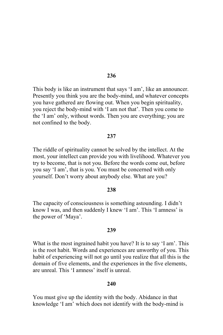This body is like an instrument that says 'I am', like an announcer. Presently you think you are the body-mind, and whatever concepts you have gathered are flowing out. When you begin spirituality, you reject the body-mind with 'I am not that'. Then you come to the 'I am' only, without words. Then you are everything; you are not confined to the body.

### 237

The riddle of spirituality cannot be solved by the intellect. At the most, your intellect can provide you with livelihood. Whatever you try to become, that is not you. Before the words come out, before you say 'I am', that is you. You must be concerned with only yourself. Don't worry about anybody else. What are you?

### 238

The capacity of consciousness is something astounding. I didn't know I was, and then suddenly I knew 'I am'. This 'I amness' is the power of 'Maya'.

#### 239

What is the most ingrained habit you have? It is to say 'I am'. This is the root habit. Words and experiences are unworthy of you. This habit of experiencing will not go until you realize that all this is the domain of five elements, and the experiences in the five elements, are unreal. This 'I amness' itself is unreal.

## 2.40

You must give up the identity with the body. Abidance in that knowledge 'I am' which does not identify with the body-mind is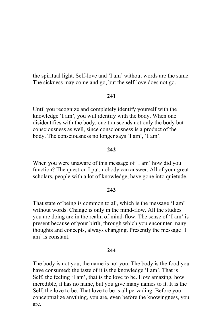the spiritual light. Self-love and 'I am' without words are the same. The sickness may come and go, but the self-love does not go.

# 241

Until you recognize and completely identify yourself with the knowledge 'I am', you will identify with the body. When one disidentifies with the body, one transcends not only the body but consciousness as well, since consciousness is a product of the body. The consciousness no longer says 'I am', 'I am'.

## 242

When you were unaware of this message of 'I am' how did you function? The question I put, nobody can answer. All of your great scholars, people with a lot of knowledge, have gone into quietude.

### 243

That state of being is common to all, which is the message 'I am' without words. Change is only in the mind-flow. All the studies you are doing are in the realm of mind-flow. The sense of 'I am' is present because of your birth, through which you encounter many thoughts and concepts, always changing. Presently the message 'I am' is constant.

### 244

The body is not you, the name is not you. The body is the food you have consumed; the taste of it is the knowledge 'I am'. That is Self, the feeling 'I am', that is the love to be. How amazing, how incredible, it has no name, but you give many names to it. It is the Self, the love to be. That love to be is all pervading. Before you conceptualize anything, you are, even before the knowingness, you are.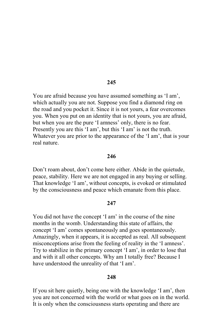You are afraid because you have assumed something as 'I am', which actually you are not. Suppose you find a diamond ring on the road and you pocket it. Since it is not yours, a fear overcomes you. When you put on an identity that is not yours, you are afraid, but when you are the pure 'I amness' only, there is no fear. Presently you are this 'I am', but this 'I am' is not the truth. Whatever you are prior to the appearance of the 'I am', that is your real nature

## 2.46

Don't roam about, don't come here either. Abide in the quietude, peace, stability. Here we are not engaged in any buying or selling. That knowledge 'I am', without concepts, is evoked or stimulated by the consciousness and peace which emanate from this place.

### $247$

You did not have the concept 'I am' in the course of the nine months in the womb. Understanding this state of affairs, the concept 'I am' comes spontaneously and goes spontaneously. Amazingly, when it appears, it is accepted as real. All subsequent misconceptions arise from the feeling of reality in the 'I amness'. Try to stabilize in the primary concept 'I am', in order to lose that and with it all other concepts. Why am I totally free? Because I have understood the unreality of that 'I am'.

### 248

If you sit here quietly, being one with the knowledge 'I am', then you are not concerned with the world or what goes on in the world. It is only when the consciousness starts operating and there are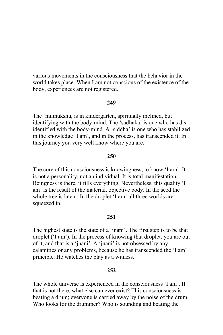various movements in the consciousness that the behavior in the world takes place. When I am not conscious of the existence of the body, experiences are not registered.

### 249

The 'mumukshu, is in kindergarten, spiritually inclined, but identifying with the body-mind. The 'sadhaka' is one who has disidentified with the body-mind. A 'siddha' is one who has stabilized in the knowledge 'I am', and in the process, has transcended it. In this journey you very well know where you are.

# 250

The core of this consciousness is knowingness, to know 'I am'. It is not a personality, not an individual. It is total manifestation. Beingness is there, it fills everything. Nevertheless, this quality 'I am' is the result of the material, objective body. In the seed the whole tree is latent. In the droplet 'I am' all three worlds are squeezed in.

## 251

The highest state is the state of a 'jnani'. The first step is to be that droplet ('I am'). In the process of knowing that droplet, you are out of it, and that is a 'jnani'. A 'jnani' is not obsessed by any calamities or any problems, because he has transcended the 'I am' principle. He watches the play as a witness.

### 252

The whole universe is experienced in the consciousness 'I am'. If that is not there, what else can ever exist? This consciousness is beating a drum; everyone is carried away by the noise of the drum. Who looks for the drummer? Who is sounding and beating the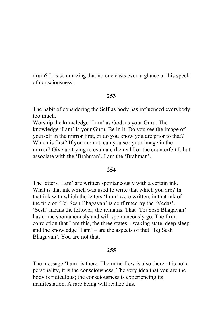drum? It is so amazing that no one casts even a glance at this speck of consciousness

# 253

The habit of considering the Self as body has influenced everybody too much

Worship the knowledge 'I am' as God, as your Guru. The knowledge 'I am' is your Guru. Be in it. Do you see the image of yourself in the mirror first, or do you know you are prior to that? Which is first? If you are not, can you see your image in the mirror? Give up trying to evaluate the real I or the counterfeit I, but associate with the 'Brahman', I am the 'Brahman'.

# 254

The letters 'I am' are written spontaneously with a certain ink. What is that ink which was used to write that which you are? In that ink with which the letters 'I am' were written, in that ink of the title of 'Tej Sesh Bhagavan' is confirmed by the 'Vedas'. 'Sesh' means the leftover, the remains. That 'Tej Sesh Bhagavan' has come spontaneously and will spontaneously go. The firm conviction that I am this, the three states – waking state, deep sleep and the knowledge 'I am' – are the aspects of that 'Tej Sesh Bhagavan'. You are not that.

# 255

The message 'I am' is there. The mind flow is also there; it is not a personality, it is the consciousness. The very idea that you are the body is ridiculous; the consciousness is experiencing its manifestation. A rare being will realize this.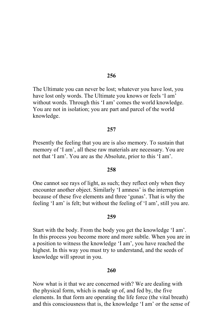The Ultimate you can never be lost; whatever you have lost, you have lost only words. The Ultimate you knows or feels 'I am' without words. Through this 'I am' comes the world knowledge. You are not in isolation; you are part and parcel of the world knowledge.

### 257

Presently the feeling that you are is also memory. To sustain that memory of 'I am', all these raw materials are necessary. You are not that 'I am'. You are as the Absolute, prior to this 'I am'.

### 258

One cannot see rays of light, as such; they reflect only when they encounter another object. Similarly 'I amness' is the interruption because of these five elements and three 'gunas'. That is why the feeling 'I am' is felt; but without the feeling of 'I am', still you are.

### 259

Start with the body. From the body you get the knowledge 'I am'. In this process you become more and more subtle. When you are in a position to witness the knowledge 'I am', you have reached the highest. In this way you must try to understand, and the seeds of knowledge will sprout in you.

## 260

Now what is it that we are concerned with? We are dealing with the physical form, which is made up of, and fed by, the five elements. In that form are operating the life force (the vital breath) and this consciousness that is, the knowledge 'I am' or the sense of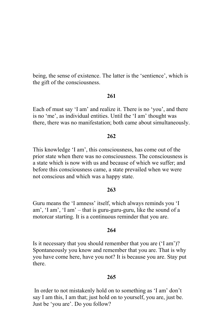being, the sense of existence. The latter is the 'sentience', which is the gift of the consciousness.

# 261

Each of must say 'I am' and realize it. There is no 'you', and there is no 'me', as individual entities. Until the 'I am' thought was there, there was no manifestation; both came about simultaneously.

# $262$

This knowledge 'I am', this consciousness, has come out of the prior state when there was no consciousness. The consciousness is a state which is now with us and because of which we suffer; and before this consciousness came, a state prevailed when we were not conscious and which was a happy state.

# 263

Guru means the 'I amness' itself, which always reminds you 'I am', 'I am', 'I am' – that is guru-guru-guru, like the sound of a motorcar starting. It is a continuous reminder that you are.

## 264

Is it necessary that you should remember that you are ('I am')? Spontaneously you know and remember that you are. That is why you have come here, have you not? It is because you are. Stay put there

# 265

In order to not mistakenly hold on to something as 'I am' don't say I am this, I am that; just hold on to yourself, you are, just be. Just be 'you are'. Do you follow?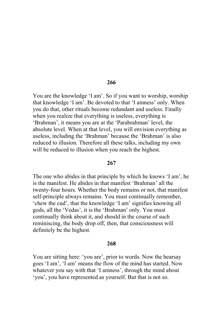You are the knowledge 'I am'. So if you want to worship, worship that knowledge 'I am'. Be devoted to that 'I amness' only. When you do that, other rituals become redundant and useless. Finally when you realize that everything is useless, everything is 'Brahman', it means you are at the 'Parabrahman' level, the absolute level. When at that level, you will envision everything as useless, including the 'Brahman' because the 'Brahman' is also reduced to illusion. Therefore all these talks, including my own will be reduced to illusion when you reach the highest.

## 267

The one who abides in that principle by which he knows 'I am', he is the manifest. He abides in that manifest 'Brahman' all the twenty-four hours. Whether the body remains or not, that manifest self-principle always remains. You must continually remember, 'chew the cud', that the knowledge 'I am' signifies knowing all gods, all the 'Vedas', it is the 'Brahman' only. You must continually think about it, and should in the course of such reminiscing, the body drop off, then, that consciousness will definitely be the highest.

### 268

You are sitting here: 'you are', prior to words. Now the hearsay goes 'I am', 'I am' means the flow of the mind has started. Now whatever you say with that 'I amness', through the mind about 'you', you have represented as yourself. But that is not so.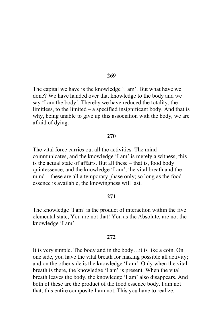The capital we have is the knowledge 'I am'. But what have we done? We have handed over that knowledge to the body and we say 'I am the body'. Thereby we have reduced the totality, the limitless, to the limited  $-$  a specified insignificant body. And that is why, being unable to give up this association with the body, we are afraid of dying.

# 270

The vital force carries out all the activities. The mind communicates, and the knowledge 'I am' is merely a witness; this is the actual state of affairs. But all these – that is, food body quintessence, and the knowledge 'I am', the vital breath and the mind – these are all a temporary phase only; so long as the food essence is available, the knowingness will last.

## 271

The knowledge 'I am' is the product of interaction within the five elemental state, You are not that! You as the Absolute, are not the knowledge 'I am'.

### $2.72$

It is very simple. The body and in the body... it is like a coin. On one side, you have the vital breath for making possible all activity; and on the other side is the knowledge 'I am'. Only when the vital breath is there, the knowledge 'I am' is present. When the vital breath leaves the body, the knowledge 'I am' also disappears. And both of these are the product of the food essence body. I am not that; this entire composite I am not. This you have to realize.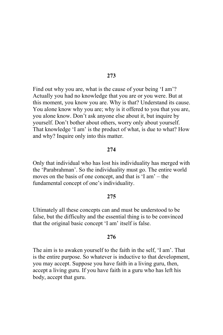Find out why you are, what is the cause of your being 'I am'? Actually you had no knowledge that you are or you were. But at this moment, you know you are. Why is that? Understand its cause. You alone know why you are; why is it offered to you that you are, you alone know. Don't ask anyone else about it, but inquire by yourself. Don't bother about others, worry only about yourself. That knowledge 'I am' is the product of what, is due to what? How and why? Inquire only into this matter.

#### 274

Only that individual who has lost his individuality has merged with the 'Parabrahman'. So the individuality must go. The entire world moves on the basis of one concept, and that is 'I am' – the fundamental concept of one's individuality.

### 275

Ultimately all these concepts can and must be understood to be false, but the difficulty and the essential thing is to be convinced that the original basic concept 'I am' itself is false.

### 276

The aim is to awaken yourself to the faith in the self, 'I am'. That is the entire purpose. So whatever is inductive to that development, you may accept. Suppose you have faith in a living guru, then, accept a living guru. If you have faith in a guru who has left his body, accept that guru.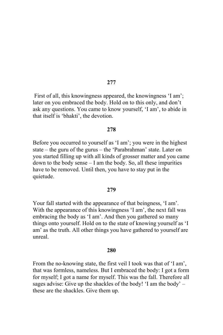First of all, this knowingness appeared, the knowingness 'I am', later on you embraced the body. Hold on to this only, and don't ask any questions. You came to know yourself, 'I am', to abide in that itself is 'bhakti', the devotion.

### 278

Before you occurred to yourself as 'I am'; you were in the highest state – the guru of the gurus – the 'Parabrahman' state. Later on you started filling up with all kinds of grosser matter and you came down to the body sense  $-1$  am the body. So, all these impurities have to be removed. Until then, you have to stay put in the quietude.

#### 279

Your fall started with the appearance of that beingness, 'I am'. With the appearance of this knowingness 'I am', the next fall was embracing the body as 'I am'. And then you gathered so many things onto yourself. Hold on to the state of knowing yourself as 'I am' as the truth. All other things you have gathered to yourself are unreal

### 280

From the no-knowing state, the first veil I took was that of 'I am', that was formless, nameless. But I embraced the body: I got a form for myself; I got a name for myself. This was the fall. Therefore all sages advise: Give up the shackles of the body! 'I am the body'  $$ these are the shackles. Give them up.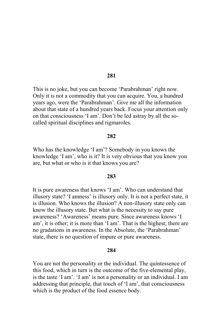This is no joke, but you can become 'Parabrahman' right now. Only it is not a commodity that you can acquire. You, a hundred years ago, were the 'Parabrahman'. Give me all the information about that state of a hundred years back. Focus your attention only on that consciousness 'I am'. Don't be led astray by all the socalled spiritual disciplines and rigmaroles.

# 282

Who has the knowledge 'I am'? Somebody in you knows the knowledge 'I am', who is it? It is very obvious that you know you are, but what or who is it that knows you are?

#### 283

It is pure awareness that knows 'I am'. Who can understand that illusory state? 'I amness' is illusory only. It is not a perfect state, it is illusion. Who knows the illusion? A non-illusory state only can know the illusory state. But what is the necessity to say pure awareness? 'Awareness' means pure. Since awareness knows 'I am', it is other; it is more than 'I am'. That is the highest; there are no gradations in awareness. In the Absolute, the 'Parabrahman' state, there is no question of impure or pure awareness.

#### 284

You are not the personality or the individual. The quintessence of this food, which in turn is the outcome of the five-elemental play, is the taste 'I am'. 'I am' is not a personality or an individual. I am addressing that principle, that touch of 'I am', that consciousness which is the product of the food essence body.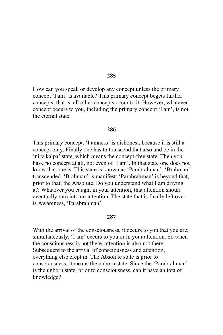How can you speak or develop any concept unless the primary concept 'I am' is available? This primary concept begets further concepts, that is, all other concepts occur to it. However, whatever concept occurs to you, including the primary concept 'I am', is not the eternal state

#### 286

This primary concept, 'I amness' is dishonest, because it is still a concept only. Finally one has to transcend that also and be in the 'nirvikalpa' state, which means the concept-free state. Then you have no concept at all, not even of 'I am'. In that state one does not know that one is. This state is known as 'Parabrahman' 'Brahman' transcended. 'Brahman' is manifest; 'Parabrahman' is beyond that, prior to that; the Absolute. Do you understand what I am driving at? Whatever you caught in your attention, that attention should eventually turn into no-attention. The state that is finally left over is Awareness, 'Parabrahman'.

### 287

With the arrival of the consciousness, it occurs to you that you are; simultaneously, 'I am' occurs to you or in your attention. So when the consciousness is not there, attention is also not there. Subsequent to the arrival of consciousness and attention, everything else crept in. The Absolute state is prior to consciousness; it means the unborn state. Since the 'Parabrahman' is the unborn state, prior to consciousness, can it have an iota of knowledge?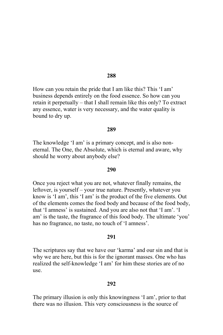How can you retain the pride that I am like this? This 'I am' business depends entirely on the food essence. So how can you retain it perpetually – that I shall remain like this only? To extract any essence, water is very necessary, and the water quality is bound to dry up.

#### 289

The knowledge 'I am' is a primary concept, and is also noneternal. The One, the Absolute, which is eternal and aware, why should he worry about anybody else?

#### 290

Once you reject what you are not, whatever finally remains, the leftover, is yourself – your true nature. Presently, whatever you know is 'I am', this 'I am' is the product of the five elements. Out of the elements comes the food body and because of the food body, that 'I amness' is sustained. And you are also not that 'I am'. 'I am' is the taste, the fragrance of this food body. The ultimate 'you' has no fragrance, no taste, no touch of 'I amness'.

## 291

The scriptures say that we have our 'karma' and our sin and that is why we are here, but this is for the ignorant masses. One who has realized the self-knowledge 'I am' for him these stories are of no use.

### 292

The primary illusion is only this knowingness 'I am', prior to that there was no illusion. This very consciousness is the source of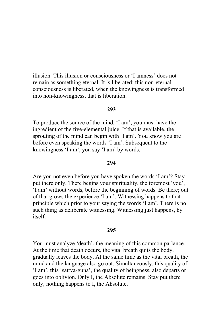illusion. This illusion or consciousness or 'I amness' does not remain as something eternal. It is liberated; this non-eternal consciousness is liberated, when the knowingness is transformed into non-knowingness, that is liberation.

### 293

To produce the source of the mind, 'I am', you must have the ingredient of the five-elemental juice. If that is available, the sprouting of the mind can begin with 'I am'. You know you are before even speaking the words 'I am'. Subsequent to the knowingness 'I am', you say 'I am' by words.

#### 294

Are you not even before you have spoken the words 'I am'? Stay put there only. There begins your spirituality, the foremost 'you', 'I am' without words, before the beginning of words. Be there; out of that grows the experience 'I am'. Witnessing happens to that principle which prior to your saying the words 'I am'. There is no such thing as deliberate witnessing. Witnessing just happens, by itself.

#### 295

You must analyze 'death', the meaning of this common parlance. At the time that death occurs, the vital breath quits the body, gradually leaves the body. At the same time as the vital breath, the mind and the language also go out. Simultaneously, this quality of 'I am', this 'sattva-guna', the quality of beingness, also departs or goes into oblivion. Only I, the Absolute remains. Stay put there only; nothing happens to I, the Absolute.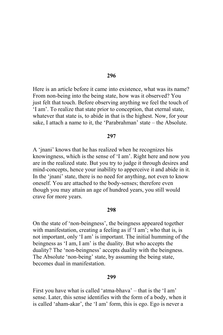Here is an article before it came into existence, what was its name? From non-being into the being state, how was it observed? You just felt that touch. Before observing anything we feel the touch of 'I am'. To realize that state prior to conception, that eternal state, whatever that state is, to abide in that is the highest. Now, for your sake. I attach a name to it, the 'Parabrahman' state - the Absolute.

### 297

A 'inani' knows that he has realized when he recognizes his knowingness, which is the sense of 'I am'. Right here and now you are in the realized state. But you try to judge it through desires and mind-concepts, hence your inability to apperceive it and abide in it. In the 'jnani' state, there is no need for anything, not even to know oneself. You are attached to the body-senses; therefore even though you may attain an age of hundred years, you still would crave for more years.

#### 298

On the state of 'non-beingness', the beingness appeared together with manifestation, creating a feeling as if 'I am'; who that is, is not important, only 'I am' is important. The initial humming of the beingness as 'I am, I am' is the duality. But who accepts the duality? The 'non-beingness' accepts duality with the beingness. The Absolute 'non-being' state, by assuming the being state, becomes dual in manifestation

#### 299

First you have what is called 'atma-bhava' – that is the 'I am' sense. Later, this sense identifies with the form of a body, when it is called 'aham-akar', the 'I am' form, this is ego. Ego is never a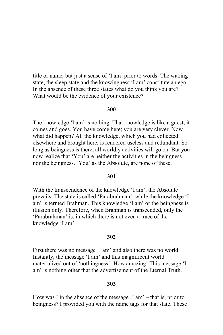title or name, but just a sense of 'I am' prior to words. The waking state, the sleep state and the knowingness 'I am' constitute an ego. In the absence of these three states what do you think you are? What would be the evidence of your existence?

# 300

The knowledge 'I am' is nothing. That knowledge is like a guest; it comes and goes. You have come here; you are very clever. Now what did happen? All the knowledge, which you had collected elsewhere and brought here, is rendered useless and redundant. So long as beingness is there, all worldly activities will go on. But you now realize that 'You' are neither the activities in the beingness nor the beingness. 'You' as the Absolute, are none of these.

## 301

With the transcendence of the knowledge 'I am', the Absolute prevails. The state is called 'Parabrahman', while the knowledge 'I am' is termed Brahman. This knowledge 'I am' or the beingness is illusion only. Therefore, when Brahman is transcended, only the 'Parabrahman' is, in which there is not even a trace of the knowledge 'I am'.

### 302

First there was no message 'I am' and also there was no world. Instantly, the message 'I am' and this magnificent world materialized out of 'nothingness'! How amazing! This message 'I am' is nothing other that the advertisement of the Eternal Truth.

### 303

How was I in the absence of the message  $I$  am'  $-$  that is, prior to beingness? I provided you with the name tags for that state. These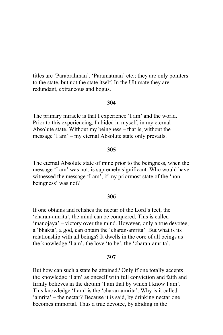titles are 'Parabrahman', 'Paramatman' etc.; they are only pointers to the state, but not the state itself. In the Ultimate they are redundant, extraneous and bogus.

### 304

The primary miracle is that I experience 'I am' and the world. Prior to this experiencing, I abided in myself, in my eternal Absolute state. Without my beingness – that is, without the message 'I am' – my eternal Absolute state only prevails.

## 305

The eternal Absolute state of mine prior to the beingness, when the message 'I am' was not, is supremely significant. Who would have witnessed the message 'I am', if my priormost state of the 'nonbeingness' was not?

#### 306

If one obtains and relishes the nectar of the Lord's feet, the 'charan-amrita', the mind can be conquered. This is called 'manojaya' – victory over the mind. However, only a true devotee, a 'bhakta', a god, can obtain the 'charan-amrita'. But what is its relationship with all beings? It dwells in the core of all beings as the knowledge 'I am', the love 'to be', the 'charan-amrita'.

#### 307

But how can such a state be attained? Only if one totally accepts the knowledge 'I am' as oneself with full conviction and faith and firmly believes in the dictum 'I am that by which I know I am'. This knowledge 'I am' is the 'charan-amrita'. Why is it called 'amrita' – the nectar? Because it is said, by drinking nectar one becomes immortal. Thus a true devotee, by abiding in the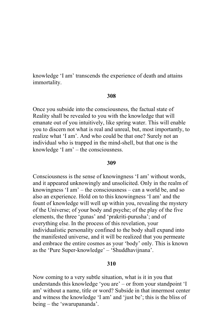knowledge 'I am' transcends the experience of death and attains immortality.

## 308

Once you subside into the consciousness, the factual state of Reality shall be revealed to you with the knowledge that will emanate out of you intuitively, like spring water. This will enable you to discern not what is real and unreal, but, most importantly, to realize what 'I am'. And who could be that one? Surely not an individual who is trapped in the mind-shell, but that one is the knowledge 'I am'  $-$  the consciousness.

#### 309

Consciousness is the sense of knowingness 'I am' without words, and it appeared unknowingly and unsolicited. Only in the realm of knowingness 'I am'  $-$  the consciousness  $-$  can a world be, and so also an experience. Hold on to this knowingness 'I am' and the fount of knowledge will well up within you, revealing the mystery of the Universe; of your body and psyche; of the play of the five elements, the three 'gunas' and 'prakriti-purusha'; and of everything else. In the process of this revelation, your individualistic personality confined to the body shall expand into the manifested universe, and it will be realized that you permeate and embrace the entire cosmos as your 'body' only. This is known as the 'Pure Super-knowledge' – 'Shuddhavijnana'.

# 310

Now coming to a very subtle situation, what is it in you that understands this knowledge 'you are' – or from your standpoint 'I am' without a name, title or word? Subside in that innermost center and witness the knowledge 'I am' and 'just be'; this is the bliss of being – the 'swarupananda'.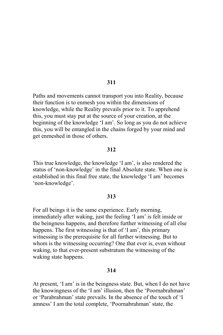Paths and movements cannot transport you into Reality, because their function is to enmesh you within the dimensions of knowledge, while the Reality prevails prior to it. To apprehend this, you must stay put at the source of your creation, at the beginning of the knowledge 'I am'. So long as you do not achieve this, you will be entangled in the chains forged by your mind and get enmeshed in those of others.

## 312

This true knowledge, the knowledge 'I am', is also rendered the status of 'non-knowledge' in the final Absolute state. When one is established in this final free state, the knowledge 'I am' becomes 'non-knowledge'.

#### 313

For all beings it is the same experience. Early morning, immediately after waking, just the feeling 'I am' is felt inside or the beingness happens, and therefore further witnessing of all else happens. The first witnessing is that of 'I am', this primary witnessing is the prerequisite for all further witnessing. But to whom is the witnessing occurring? One that ever is, even without waking, to that ever-present substratum the witnessing of the waking state happens.

### 314

At present, 'I am' is in the beingness state. But, when I do not have the knowingness of the 'I am' illusion, then the 'Poornabrahman' or 'Parabrahman' state prevails. In the absence of the touch of 'I amness' I am the total complete, 'Poornabrahman' state, the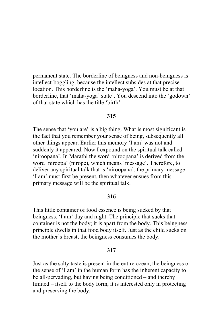permanent state. The borderline of beingness and non-beingness is intellect-boggling, because the intellect subsides at that precise location. This borderline is the 'maha-yoga'. You must be at that borderline, that 'maha-yoga' state'. You descend into the 'godown' of that state which has the title 'birth'.

## 315

The sense that 'you are' is a big thing. What is most significant is the fact that you remember your sense of being, subsequently all other things appear. Earlier this memory 'I am' was not and suddenly it appeared. Now I expound on the spiritual talk called 'niroopana'. In Marathi the word 'niroopana' is derived from the word 'niroopa' (nirope), which means 'message'. Therefore, to deliver any spiritual talk that is 'niroopana', the primary message 'I am' must first be present, then whatever ensues from this primary message will be the spiritual talk.

### 316

This little container of food essence is being sucked by that beingness, 'I am' day and night. The principle that sucks that container is not the body; it is apart from the body. This beingness principle dwells in that food body itself. Just as the child sucks on the mother's breast, the beingness consumes the body.

## 317

Just as the salty taste is present in the entire ocean, the beingness or the sense of 'I am' in the human form has the inherent capacity to be all-pervading, but having being conditioned – and thereby limited – itself to the body form, it is interested only in protecting and preserving the body.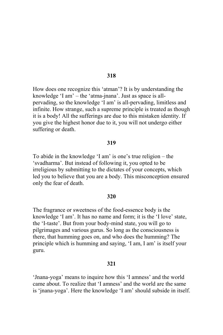How does one recognize this 'atman'? It is by understanding the knowledge 'I am' – the 'atma-jnana'. Just as space is allpervading, so the knowledge 'I am' is all-pervading, limitless and infinite. How strange, such a supreme principle is treated as though it is a body! All the sufferings are due to this mistaken identity. If you give the highest honor due to it, you will not undergo either suffering or death.

### 319

To abide in the knowledge 'I am' is one's true religion – the 'svadharma'. But instead of following it, you opted to be irreligious by submitting to the dictates of your concepts, which led you to believe that you are a body. This misconception ensured only the fear of death.

#### 320

The fragrance or sweetness of the food-essence body is the knowledge 'I am'. It has no name and form; it is the 'I love' state, the 'I-taste'. But from your body-mind state, you will go to pilgrimages and various gurus. So long as the consciousness is there, that humming goes on, and who does the humming? The principle which is humming and saying, 'I am, I am' is itself your guru.

### 321

'Jnana-yoga' means to inquire how this 'I amness' and the world came about. To realize that 'I amness' and the world are the same is 'jnana-yoga'. Here the knowledge 'I am' should subside in itself.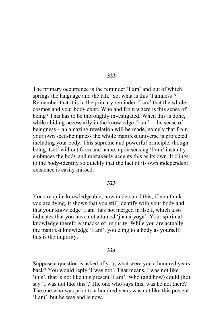The primary occurrence is the reminder 'I am' and out of which springs the language and the talk. So, what is this 'I amness'? Remember that it is in the primary reminder 'I am' that the whole cosmos and your body exist. Who and from where is this sense of being? This has to be thoroughly investigated. When this is done, while abiding necessarily in the knowledge  $T = 1$  am'  $-$  the sense of beingness – an amazing revelation will be made, namely that from your own seed-beingness the whole manifest universe is projected including your body. This supreme and powerful principle, though being itself without form and name, upon sensing 'I am' instantly embraces the body and mistakenly accepts this as its own. It clings to the body-identity so quickly that the fact of its own independent existence is easily missed.

#### 323

You are quite knowledgeable; now understand this; if you think you are dying, it shows that you still identify with your body and that your knowledge 'I am' has not merged in itself, which also indicates that you have not attained 'jnana-yoga'. Your spiritual knowledge therefore smacks of impurity. While you are actually the manifest knowledge 'I am', you cling to a body as yourself; this is the impurity.'

#### 324

Suppose a question is asked of you, what were you a hundred years back? You would reply 'I was not'. That means, I was not like 'this', that is not like this present 'I am'. Who (and how) could (he) say 'I was not like this'? The one who says this, was he not there? The one who was prior to a hundred years was not like this present 'I am', but he was and is now.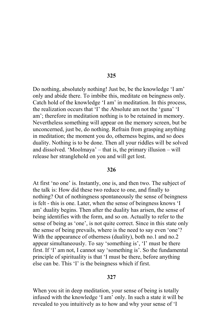Do nothing, absolutely nothing! Just be, be the knowledge 'I am' only and abide there. To imbibe this, meditate on beingness only. Catch hold of the knowledge 'I am' in meditation. In this process, the realization occurs that 'I' the Absolute am not the 'guna' 'I am'; therefore in meditation nothing is to be retained in memory. Nevertheless something will appear on the memory screen, but be unconcerned, just be, do nothing. Refrain from grasping anything in meditation; the moment you do, otherness begins, and so does duality. Nothing is to be done. Then all your riddles will be solved and dissolved. 'Moolmaya'  $-$  that is, the primary illusion  $-$  will release her stranglehold on you and will get lost.

### 326

At first 'no one' is. Instantly, one is, and then two. The subject of the talk is: How did these two reduce to one, and finally to nothing? Out of nothingness spontaneously the sense of beingness is felt - this is one. Later, when the sense of beingness knows 'I am' duality begins. Then after the duality has arisen, the sense of being identifies with the form, and so on. Actually to refer to the sense of being as 'one', is not quite correct. Since in this state only the sense of being prevails, where is the need to say even 'one'? With the appearance of otherness (duality), both no.1 and no.2 appear simultaneously. To say 'something is', 'I' must be there first. If 'I' am not, I cannot say 'something is'. So the fundamental principle of spirituality is that 'I must be there, before anything else can be. This 'I' is the beingness which if first.

### 327

When you sit in deep meditation, your sense of being is totally infused with the knowledge 'I am' only. In such a state it will be revealed to you intuitively as to how and why your sense of 'I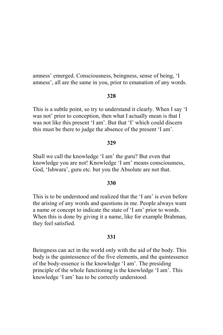amness' emerged. Consciousness, beingness, sense of being, 'I amness', all are the same in you, prior to emanation of any words.

## 328

This is a subtle point, so try to understand it clearly. When I say 'I was not' prior to conception, then what I actually mean is that I was not like this present 'I am'. But that 'I' which could discern this must be there to judge the absence of the present 'I am'.

## 329

Shall we call the knowledge 'I am' the guru? But even that knowledge you are not! Knowledge 'I am' means consciousness, God, 'Ishwara', guru etc. but you the Absolute are not that.

# 330

This is to be understood and realized that the 'I am' is even before the arising of any words and questions in me. People always want a name or concept to indicate the state of 'I am' prior to words. When this is done by giving it a name, like for example Brahman, they feel satisfied.

## 331

Beingness can act in the world only with the aid of the body. This body is the quintessence of the five elements, and the quintessence of the body-essence is the knowledge 'I am'. The presiding principle of the whole functioning is the knowledge 'I am'. This knowledge 'I am' has to be correctly understood.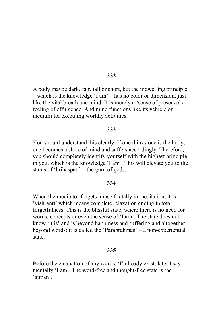A body maybe dark, fair, tall or short, but the indwelling principle - which is the knowledge 'I am' - has no color or dimension, just like the vital breath and mind. It is merely a 'sense of presence' a feeling of effulgence. And mind functions like its vehicle or medium for executing worldly activities.

### 333

You should understand this clearly. If one thinks one is the body, one becomes a slave of mind and suffers accordingly. Therefore, you should completely identify yourself with the highest principle in you, which is the knowledge 'I am'. This will elevate you to the status of 'brihaspati'  $-$  the guru of gods.

# 334

When the meditator forgets himself totally in meditation, it is 'vishranti' which means complete relaxation ending in total forgetfulness. This is the blissful state, where there is no need for words, concepts or even the sense of 'I am'. The state does not know 'it is' and is beyond happiness and suffering and altogether beyond words; it is called the 'Parabrahman' – a non-experiential state.

### 335

Before the emanation of any words, 'I' already exist; later I say mentally 'I am'. The word-free and thought-free state is the 'atman'.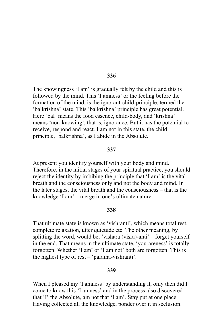The knowingness 'I am' is gradually felt by the child and this is followed by the mind. This 'I amness' or the feeling before the formation of the mind, is the ignorant-child-principle, termed the 'balkrishna' state. This 'balkrishna' principle has great potential. Here 'bal' means the food essence, child-body, and 'krishna' means 'non-knowing', that is, ignorance. But it has the potential to receive, respond and react. I am not in this state, the child principle, 'balkrishna', as I abide in the Absolute.

### 337

At present you identify yourself with your body and mind. Therefore, in the initial stages of your spiritual practice, you should reject the identity by imbibing the principle that 'I am' is the vital breath and the consciousness only and not the body and mind. In the later stages, the vital breath and the consciousness – that is the knowledge 'I am' - merge in one's ultimate nature.

### 338

That ultimate state is known as 'vishranti', which means total rest, complete relaxation, utter quietude etc. The other meaning, by splitting the word, would be, 'vishara (visra)-anti' – forget yourself in the end. That means in the ultimate state, 'you-areness' is totally forgotten. Whether 'I am' or 'I am not' both are forgotten. This is the highest type of rest – 'parama-vishranti'.

### 339

When I pleased my 'I amness' by understanding it, only then did I come to know this 'I amness' and in the process also discovered that 'I' the Absolute, am not that 'I am'. Stay put at one place. Having collected all the knowledge, ponder over it in seclusion.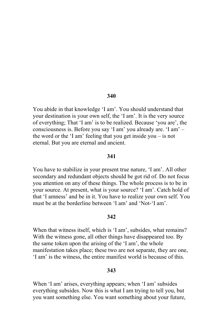You abide in that knowledge 'I am'. You should understand that your destination is your own self, the 'I am'. It is the very source of everything; That 'I am' is to be realized. Because 'you are', the consciousness is. Before you say 'I am' you already are. 'I am' the word or the 'I am' feeling that you get inside you  $-$  is not eternal. But you are eternal and ancient.

### 341

You have to stabilize in your present true nature, 'I am'. All other secondary and redundant objects should be got rid of. Do not focus you attention on any of these things. The whole process is to be in your source. At present, what is your source? 'I am'. Catch hold of that 'I amness' and be in it. You have to realize your own self. You must be at the borderline between 'I am' and 'Not-'I am'

# 342

When that witness itself, which is 'I am', subsides, what remains? With the witness gone, all other things have disappeared too. By the same token upon the arising of the 'I am', the whole manifestation takes place; these two are not separate, they are one, 'I am' is the witness, the entire manifest world is because of this.

#### 343

When 'I am' arises, everything appears; when 'I am' subsides everything subsides. Now this is what I am trying to tell you, but you want something else. You want something about your future,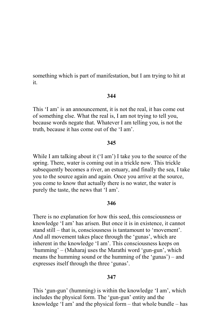something which is part of manifestation, but I am trying to hit at it.

## 344

This 'I am' is an announcement, it is not the real, it has come out of something else. What the real is, I am not trying to tell you, because words negate that. Whatever I am telling you, is not the truth, because it has come out of the 'I am'.

### 345

While I am talking about it ('I am') I take you to the source of the spring. There, water is coming out in a trickle now. This trickle subsequently becomes a river, an estuary, and finally the sea. I take you to the source again and again. Once you arrive at the source, you come to know that actually there is no water, the water is purely the taste, the news that 'I am'.

### 346

There is no explanation for how this seed, this consciousness or knowledge 'I am' has arisen. But once it is in existence, it cannot stand still – that is, consciousness is tantamount to 'movement'. And all movement takes place through the 'gunas', which are inherent in the knowledge 'I am'. This consciousness keeps on 'humming' – (Maharaj uses the Marathi word 'gun-gun', which means the humming sound or the humming of the 'gunas') – and expresses itself through the three 'gunas'.

### 347

This 'gun-gun' (humming) is within the knowledge 'I am', which includes the physical form. The 'gun-gun' entity and the knowledge 'I am' and the physical form – that whole bundle – has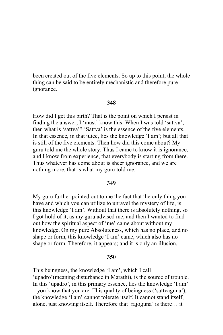been created out of the five elements. So up to this point, the whole thing can be said to be entirely mechanistic and therefore pure ignorance.

#### 348

How did I get this birth? That is the point on which I persist in finding the answer; I 'must' know this. When I was told 'sattva', then what is 'sattva'? 'Sattva' is the essence of the five elements. In that essence, in that juice, lies the knowledge 'I am'; but all that is still of the five elements. Then how did this come about? My guru told me the whole story. Thus I came to know it is ignorance, and I know from experience, that everybody is starting from there. Thus whatever has come about is sheer ignorance, and we are nothing more, that is what my guru told me.

### 349

My guru further pointed out to me the fact that the only thing you have and which you can utilize to unravel the mystery of life, is this knowledge 'I am'. Without that there is absolutely nothing, so I got hold of it, as my guru advised me, and then I wanted to find out how the spiritual aspect of 'me' came about without my knowledge. On my pure Absoluteness, which has no place, and no shape or form, this knowledge 'I am' came, which also has no shape or form. Therefore, it appears; and it is only an illusion.

#### 350

This beingness, the knowledge 'I am', which I call 'upadro'(meaning disturbance in Marathi), is the source of trouble. In this 'upadro', in this primary essence, lies the knowledge 'I am' - you know that you are. This quality of beingness ('sattvaguna'), the knowledge 'I am' cannot tolerate itself. It cannot stand itself, alone, just knowing itself. Therefore that 'rajoguna' is there... it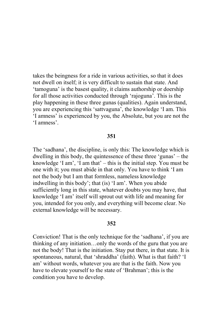takes the beingness for a ride in various activities, so that it does not dwell on itself; it is very difficult to sustain that state. And 'tamoguna' is the basest quality, it claims authorship or doership for all those activities conducted through 'rajoguna'. This is the play happening in these three gunas (qualities). Again understand, you are experiencing this 'sattvaguna', the knowledge 'I am. This 'I amness' is experienced by you, the Absolute, but you are not the 'I amness'

## 351

The 'sadhana', the discipline, is only this: The knowledge which is dwelling in this body, the quintessence of these three 'gunas' – the knowledge 'I am', 'I am that'  $-$  this is the initial step. You must be one with it; you must abide in that only. You have to think 'I am not the body but I am that formless, nameless knowledge indwelling in this body'; that (is) 'I am'. When you abide sufficiently long in this state, whatever doubts you may have, that knowledge 'I am' itself will sprout out with life and meaning for you, intended for you only, and everything will become clear. No external knowledge will be necessary.

### 352

Conviction! That is the only technique for the 'sadhana', if you are thinking of any initiation...only the words of the guru that you are not the body! That is the initiation. Stay put there, in that state. It is spontaneous, natural, that 'shraddha' (faith). What is that faith? 'I am' without words, whatever you are that is the faith. Now you have to elevate yourself to the state of 'Brahman'; this is the condition you have to develop.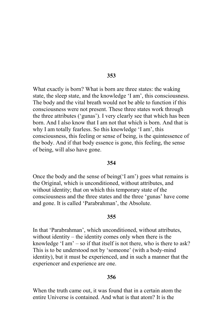What exactly is born? What is born are three states: the waking state, the sleep state, and the knowledge 'I am', this consciousness. The body and the vital breath would not be able to function if this consciousness were not present. These three states work through the three attributes ('gunas'). I very clearly see that which has been born. And I also know that I am not that which is born. And that is why I am totally fearless. So this knowledge 'I am', this consciousness, this feeling or sense of being, is the quintessence of the body. And if that body essence is gone, this feeling, the sense of being, will also have gone.

### 354

Once the body and the sense of being (I am') goes what remains is the Original, which is unconditioned, without attributes, and without identity; that on which this temporary state of the consciousness and the three states and the three 'gunas' have come and gone. It is called 'Parabrahman', the Absolute.

### 355

In that 'Parabrahman', which unconditioned, without attributes, without identity  $-$  the identity comes only when there is the knowledge 'I am'  $-$  so if that itself is not there, who is there to ask? This is to be understood not by 'someone' (with a body-mind identity), but it must be experienced, and in such a manner that the experiencer and experience are one.

#### 356

When the truth came out, it was found that in a certain atom the entire Universe is contained. And what is that atom? It is the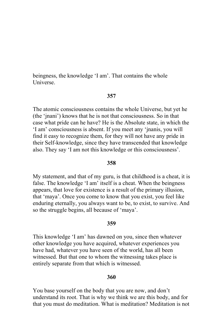beingness, the knowledge 'I am'. That contains the whole **Universe** 

# 357

The atomic consciousness contains the whole Universe, but yet he (the 'jnani') knows that he is not that consciousness. So in that case what pride can he have? He is the Absolute state, in which the 'I am' consciousness is absent. If you meet any 'jnanis, you will find it easy to recognize them, for they will not have any pride in their Self-knowledge, since they have transcended that knowledge also. They say 'I am not this knowledge or this consciousness'.

# 358

My statement, and that of my guru, is that childhood is a cheat, it is false. The knowledge 'I am' itself is a cheat. When the beingness appears, that love for existence is a result of the primary illusion, that 'maya'. Once you come to know that you exist, you feel like enduring eternally, you always want to be, to exist, to survive. And so the struggle begins, all because of 'maya'.

### 359

This knowledge 'I am' has dawned on you, since then whatever other knowledge you have acquired, whatever experiences you have had, whatever you have seen of the world, has all been witnessed. But that one to whom the witnessing takes place is entirely separate from that which is witnessed.

### 360

You base yourself on the body that you are now, and don't understand its root. That is why we think we are this body, and for that you must do meditation. What is meditation? Meditation is not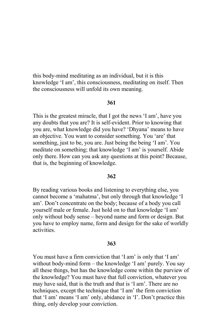this body-mind meditating as an individual, but it is this knowledge 'I am', this consciousness, meditating on itself. Then the consciousness will unfold its own meaning.

## 361

This is the greatest miracle, that I got the news 'I am', have you any doubts that you are? It is self-evident. Prior to knowing that you are, what knowledge did you have? 'Dhyana' means to have an objective. You want to consider something. You 'are' that something, just to be, you are. Just being the being 'I am'. You meditate on something, that knowledge 'I am' is yourself. Abide only there. How can you ask any questions at this point? Because, that is, the beginning of knowledge.

#### 362

By reading various books and listening to everything else, you cannot become a 'mahatma', but only through that knowledge 'I am'. Don't concentrate on the body; because of a body you call yourself male or female. Just hold on to that knowledge 'I am' only without body sense – beyond name and form or design. But you have to employ name, form and design for the sake of worldly activities

#### 363

You must have a firm conviction that 'I am' is only that 'I am' without body-mind form – the knowledge 'I am' purely. You say all these things, but has the knowledge come within the purview of the knowledge? You must have that full conviction, whatever you may have said, that is the truth and that is 'I am'. There are no techniques, except the technique that 'I am' the firm conviction that 'I am' means 'I am' only, abidance in 'I'. Don't practice this thing, only develop your conviction.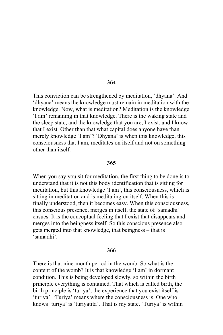This conviction can be strengthened by meditation, 'dhyana'. And 'dhyana' means the knowledge must remain in meditation with the knowledge. Now, what is meditation? Meditation is the knowledge 'I am' remaining in that knowledge. There is the waking state and the sleep state, and the knowledge that you are, I exist, and I know that I exist. Other than that what capital does anyone have than merely knowledge 'I am'? 'Dhyana' is when this knowledge, this consciousness that I am, meditates on itself and not on something other than itself.

### 365

When you say you sit for meditation, the first thing to be done is to understand that it is not this body identification that is sitting for meditation, but this knowledge 'I am', this consciousness, which is sitting in meditation and is meditating on itself. When this is finally understood, then it becomes easy. When this consciousness, this conscious presence, merges in itself, the state of 'samadhi' ensues. It is the conceptual feeling that I exist that disappears and merges into the beingness itself. So this conscious presence also gets merged into that knowledge, that beingness – that is 'samadhi'

### 366

There is that nine-month period in the womb. So what is the content of the womb? It is that knowledge 'I am' in dormant condition. This is being developed slowly, so within the birth principle everything is contained. That which is called birth, the birth principle is 'turiya'; the experience that you exist itself is 'turiya'. 'Turiya' means where the consciousness is. One who knows 'turiya' is 'turiyatita'. That is my state. 'Turiya' is within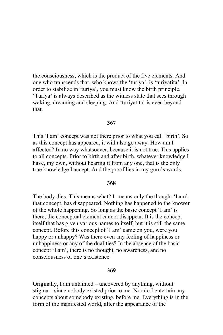the consciousness, which is the product of the five elements. And one who transcends that, who knows the 'turiva', is 'turivatita'. In order to stabilize in 'turiya', you must know the birth principle. 'Turiya' is always described as the witness state that sees through waking, dreaming and sleeping. And 'turiyatita' is even beyond that.

### 367

This 'I am' concept was not there prior to what you call 'birth'. So as this concept has appeared, it will also go away. How am I affected? In no way whatsoever, because it is not true. This applies to all concepts. Prior to birth and after birth, whatever knowledge I have, my own, without hearing it from any one, that is the only true knowledge I accept. And the proof lies in my guru's words.

# 368

The body dies. This means what? It means only the thought 'I am', that concept, has disappeared. Nothing has happened to the knower of the whole happening. So long as the basic concept 'I am' is there, the conceptual element cannot disappear. It is the concept itself that has given various names to itself, but it is still the same concept. Before this concept of 'I am' came on you, were you happy or unhappy? Was there even any feeling of happiness or unhappiness or any of the dualities? In the absence of the basic concept 'I am', there is no thought, no awareness, and no consciousness of one's existence.

#### 369

Originally, I am untainted – uncovered by anything, without stigma – since nobody existed prior to me. Nor do I entertain any concepts about somebody existing, before me. Everything is in the form of the manifested world, after the appearance of the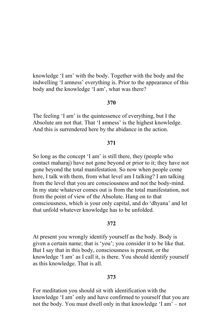knowledge 'I am' with the body. Together with the body and the indwelling 'I amness' everything is. Prior to the appearance of this body and the knowledge 'I am', what was there?

#### 370

The feeling 'I am' is the quintessence of everything, but I the Absolute am not that. That 'I amness' is the highest knowledge. And this is surrendered here by the abidance in the action.

## 371

So long as the concept 'I am' is still there, they (people who contact maharaj) have not gone beyond or prior to it; they have not gone beyond the total manifestation. So now when people come here, I talk with them, from what level am I talking? I am talking from the level that you are consciousness and not the body-mind. In my state whatever comes out is from the total manifestation, not from the point of view of the Absolute. Hang on to that consciousness, which is your only capital, and do 'dhyana' and let that unfold whatever knowledge has to be unfolded.

## 372

At present you wrongly identify yourself as the body. Body is given a certain name; that is 'you'; you consider it to be like that. But I say that in this body, consciousness is present, or the knowledge 'I am' as I call it, is there. You should identify yourself as this knowledge. That is all.

### 373

For meditation you should sit with identification with the knowledge 'I am' only and have confirmed to yourself that you are not the body. You must dwell only in that knowledge 'I am' – not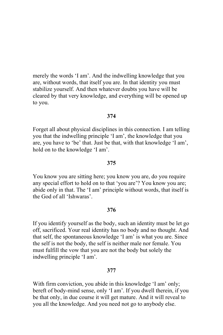merely the words 'I am'. And the indwelling knowledge that you are, without words, that itself you are. In that identity you must stabilize yourself. And then whatever doubts you have will be cleared by that very knowledge, and everything will be opened up to you.

## 374

Forget all about physical disciplines in this connection. I am telling you that the indwelling principle 'I am', the knowledge that you are, you have to 'be' that. Just be that, with that knowledge 'I am', hold on to the knowledge 'I am'.

## 375

You know you are sitting here; you know you are, do you require any special effort to hold on to that 'you are'? You know you are; abide only in that. The 'I am' principle without words, that itself is the God of all 'Ishwaras'.

### 376

If you identify yourself as the body, such an identity must be let go off, sacrificed. Your real identity has no body and no thought. And that self, the spontaneous knowledge 'I am' is what you are. Since the self is not the body, the self is neither male nor female. You must fulfill the vow that you are not the body but solely the indwelling principle 'I am'.

### 377

With firm conviction, you abide in this knowledge 'I am' only; bereft of body-mind sense, only 'I am'. If you dwell therein, if you be that only, in due course it will get mature. And it will reveal to you all the knowledge. And you need not go to anybody else.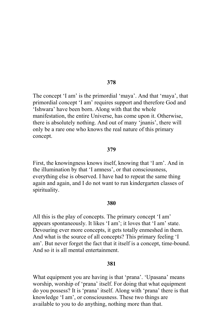The concept 'I am' is the primordial 'maya'. And that 'maya', that primordial concept 'I am' requires support and therefore God and 'Ishwara' have been born. Along with that the whole manifestation, the entire Universe, has come upon it. Otherwise, there is absolutely nothing. And out of many 'jnanis', there will only be a rare one who knows the real nature of this primary concept.

### 379

First, the knowingness knows itself, knowing that 'I am'. And in the illumination by that 'I amness', or that consciousness, everything else is observed. I have had to repeat the same thing again and again, and I do not want to run kindergarten classes of spirituality.

#### 380

All this is the play of concepts. The primary concept 'I am' appears spontaneously. It likes 'I am'; it loves that 'I am' state. Devouring ever more concepts, it gets totally enmeshed in them. And what is the source of all concepts? This primary feeling 'I am'. But never forget the fact that it itself is a concept, time-bound. And so it is all mental entertainment

# 381

What equipment you are having is that 'prana'. 'Upasana' means worship, worship of 'prana' itself. For doing that what equipment do you possess? It is 'prana' itself. Along with 'prana' there is that knowledge 'I am', or consciousness. These two things are available to you to do anything, nothing more than that.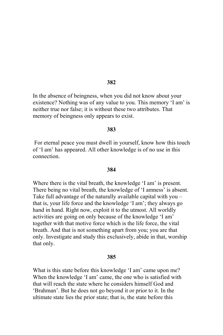In the absence of beingness, when you did not know about your existence? Nothing was of any value to you. This memory 'I am' is neither true nor false; it is without these two attributes. That memory of beingness only appears to exist.

### 383

For eternal peace you must dwell in yourself, know how this touch of 'I am' has appeared. All other knowledge is of no use in this connection

#### 384

Where there is the vital breath, the knowledge 'I am' is present. There being no vital breath, the knowledge of 'I amness' is absent. Take full advantage of the naturally available capital with you – that is, your life force and the knowledge 'I am'; they always go hand in hand. Right now, exploit it to the utmost. All worldly activities are going on only because of the knowledge 'I am' together with that motive force which is the life force, the vital breath. And that is not something apart from you; you are that only. Investigate and study this exclusively, abide in that, worship that only.

#### 385

What is this state before this knowledge 'I am' came upon me? When the knowledge 'I am' came, the one who is satisfied with that will reach the state where he considers himself God and 'Brahman'. But he does not go beyond it or prior to it. In the ultimate state lies the prior state; that is, the state before this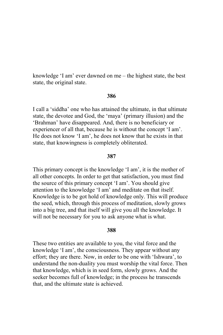knowledge 'I am' ever dawned on me – the highest state, the best state, the original state.

### 386

I call a 'siddha' one who has attained the ultimate, in that ultimate state, the devotee and God, the 'maya' (primary illusion) and the 'Brahman' have disappeared. And, there is no beneficiary or experiencer of all that, because he is without the concept 'I am'. He does not know 'I am', he does not know that he exists in that state, that knowingness is completely obliterated.

#### 387

This primary concept is the knowledge 'I am', it is the mother of all other concepts. In order to get that satisfaction, you must find the source of this primary concept 'I am'. You should give attention to the knowledge 'I am' and meditate on that itself. Knowledge is to be got hold of knowledge only. This will produce the seed, which, through this process of meditation, slowly grows into a big tree, and that itself will give you all the knowledge. It will not be necessary for you to ask anyone what is what.

#### 388

These two entities are available to you, the vital force and the knowledge 'I am', the consciousness. They appear without any effort; they are there. Now, in order to be one with 'Ishwara', to understand the non-duality you must worship the vital force. Then that knowledge, which is in seed form, slowly grows. And the seeker becomes full of knowledge; in the process he transcends that, and the ultimate state is achieved.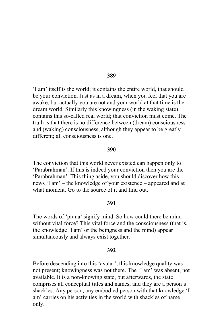If am' itself is the world; it contains the entire world, that should be your conviction. Just as in a dream, when you feel that you are awake, but actually you are not and your world at that time is the dream world. Similarly this knowingness (in the waking state) contains this so-called real world; that conviction must come. The truth is that there is no difference between (dream) consciousness and (waking) consciousness, although they appear to be greatly different; all consciousness is one.

#### 390

The conviction that this world never existed can happen only to 'Parabrahman'. If this is indeed your conviction then you are the 'Parabrahman'. This thing aside, you should discover how this news 'I am' – the knowledge of your existence – appeared and at what moment. Go to the source of it and find out

#### 391

The words of 'prana' signify mind. So how could there be mind without vital force? This vital force and the consciousness (that is, the knowledge 'I am' or the beingness and the mind) appear simultaneously and always exist together.

#### 392

Before descending into this 'avatar', this knowledge quality was not present; knowingness was not there. The 'I am' was absent, not available. It is a non-knowing state, but afterwards, the state comprises all conceptual titles and names, and they are a person's shackles. Any person, any embodied person with that knowledge 'I am' carries on his activities in the world with shackles of name only.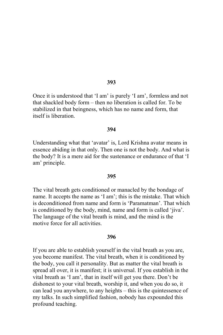Once it is understood that 'I am' is purely 'I am', formless and not that shackled body form – then no liberation is called for. To be stabilized in that beingness, which has no name and form, that itself is liberation

#### 394

Understanding what that 'avatar' is, Lord Krishna avatar means in essence abiding in that only. Then one is not the body. And what is the body? It is a mere aid for the sustenance or endurance of that 'I am' principle.

#### 395

The vital breath gets conditioned or manacled by the bondage of name. It accepts the name as 'I am'; this is the mistake. That which is deconditioned from name and form is 'Paramatman'. That which is conditioned by the body, mind, name and form is called 'jiva'. The language of the vital breath is mind, and the mind is the motive force for all activities

#### 396

If you are able to establish yourself in the vital breath as you are, you become manifest. The vital breath, when it is conditioned by the body, you call it personality. But as matter the vital breath is spread all over, it is manifest; it is universal. If you establish in the vital breath as 'I am', that in itself will get you there. Don't be dishonest to your vital breath, worship it, and when you do so, it can lead you anywhere, to any heights – this is the quintessence of my talks. In such simplified fashion, nobody has expounded this profound teaching.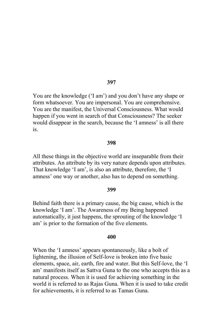You are the knowledge ('I am') and you don't have any shape or form whatsoever. You are impersonal. You are comprehensive. You are the manifest, the Universal Consciousness. What would happen if you went in search of that Consciousness? The seeker would disappear in the search, because the 'I amness' is all there is.

#### 398

All these things in the objective world are inseparable from their attributes. An attribute by its very nature depends upon attributes. That knowledge 'I am', is also an attribute, therefore, the 'I amness' one way or another, also has to depend on something.

#### 399

Behind faith there is a primary cause, the big cause, which is the knowledge 'I am'. The Awareness of my Being happened automatically, it just happens, the sprouting of the knowledge 'I am' is prior to the formation of the five elements.

#### 400

When the 'I amness' appears spontaneously, like a bolt of lightening, the illusion of Self-love is broken into five basic elements, space, air, earth, fire and water. But this Self-love, the 'I am' manifests itself as Sattva Guna to the one who accepts this as a natural process. When it is used for achieving something in the world it is referred to as Rajas Guna. When it is used to take credit for achievements, it is referred to as Tamas Guna.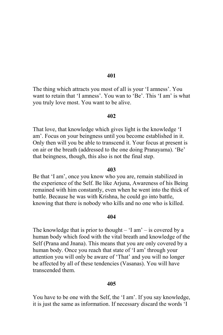The thing which attracts you most of all is your 'I amness'. You want to retain that 'I amness'. You wan to 'Be'. This 'I am' is what you truly love most. You want to be alive.

#### 402

That love, that knowledge which gives light is the knowledge 'I am'. Focus on your beingness until you become established in it. Only then will you be able to transcend it. Your focus at present is on air or the breath (addressed to the one doing Pranayama). 'Be' that beingness, though, this also is not the final step.

## 403

Be that 'I am', once you know who you are, remain stabilized in the experience of the Self. Be like Arjuna, Awareness of his Being remained with him constantly, even when he went into the thick of battle. Because he was with Krishna, he could go into battle, knowing that there is nobody who kills and no one who is killed.

# 404

The knowledge that is prior to thought  $-$  'I am'  $-$  is covered by a human body which food with the vital breath and knowledge of the Self (Prana and Jnana). This means that you are only covered by a human body. Once you reach that state of 'I am' through your attention you will only be aware of 'That' and you will no longer be affected by all of these tendencies (Vasanas). You will have transcended them

## 405

You have to be one with the Self, the 'I am'. If you say knowledge, it is just the same as information. If necessary discard the words 'I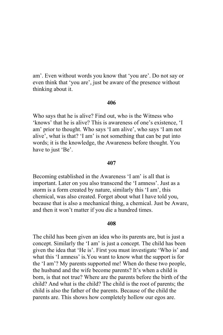am'. Even without words you know that 'you are'. Do not say or even think that 'you are', just be aware of the presence without thinking about it.

### 406

Who says that he is alive? Find out, who is the Witness who 'knows' that he is alive? This is awareness of one's existence, 'I am' prior to thought. Who says 'I am alive', who says 'I am not alive', what is that? 'I am' is not something that can be put into words; it is the knowledge, the Awareness before thought. You have to just 'Be'.

### 407

Becoming established in the Awareness 'I am' is all that is important. Later on you also transcend the 'I amness'. Just as a storm is a form created by nature, similarly this 'I am', this chemical, was also created. Forget about what I have told you, because that is also a mechanical thing, a chemical. Just be Aware, and then it won't matter if you die a hundred times.

## 408

The child has been given an idea who its parents are, but is just a concept. Similarly the 'I am' is just a concept. The child has been given the idea that 'He is'. First you must investigate 'Who is' and what this 'I amness' is. You want to know what the support is for the 'I am'? My parents supported me! When do these two people, the husband and the wife become parents? It's when a child is born, is that not true? Where are the parents before the birth of the child? And what is the child? The child is the root of parents; the child is also the father of the parents. Because of the child the parents are. This shows how completely hollow our egos are.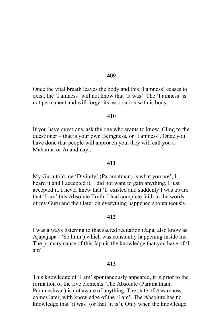Once the vital breath leaves the body and this 'I amness' ceases to exist, the 'I amness' will not know that 'It was'. The 'I amness' is not permanent and will forget its association with is body.

## 410

If you have questions, ask the one who wants to know. Cling to the questioner – that is your own Beingness, or 'I amness'. Once you have done that people will approach you, they will call you a Mahatma or Anandmayi.

## 411

My Guru told me 'Divinity' (Paramatman) is what you are', I heard it and I accepted it, I did not want to gain anything, I just accepted it. I never knew that 'I' existed and suddenly I was aware that 'I am' this Absolute Truth. I had complete faith in the words of my Guru and then later on everything happened spontaneously.

# 412

I was always listening to that sacred recitation (Japa, also know as Ajapajapa - 'So hum') which was constantly happening inside me. The primary cause of this Japa is the knowledge that you have of 'I am'

### 413

This knowledge of 'I am' spontaneously appeared, it is prior to the formation of the five elements. The Absolute (Paramatman, Parameshwar) is not aware of anything. The state of Awareness comes later, with knowledge of the 'I am'. The Absolute has no knowledge that 'it was' (or that 'it is'). Only when the knowledge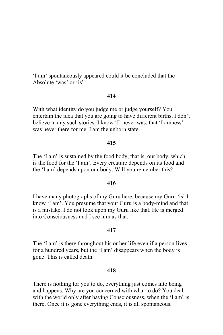'I am' spontaneously appeared could it be concluded that the Absolute 'was' or 'is'

## 414

With what identity do you judge me or judge yourself? You entertain the idea that you are going to have different births, I don't believe in any such stories. I know 'I' never was, that 'I amness' was never there for me. I am the unborn state.

### 415

The 'I am' is sustained by the food body, that is, our body, which is the food for the 'I am'. Every creature depends on its food and the 'I am' depends upon our body. Will you remember this?

# 416

I have many photographs of my Guru here, because my Guru 'is' I know 'I am'. You presume that your Guru is a body-mind and that is a mistake. I do not look upon my Guru like that. He is merged into Consciousness and I see him as that.

### 417

The 'I am' is there throughout his or her life even if a person lives for a hundred years, but the 'I am' disappears when the body is gone. This is called death.

#### 418

There is nothing for you to do, everything just comes into being and happens. Why are you concerned with what to do? You deal with the world only after having Consciousness, when the 'I am' is there. Once it is gone everything ends, it is all spontaneous.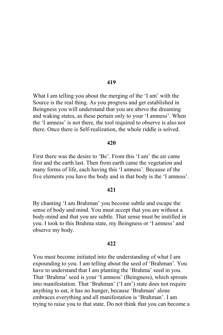What I am telling you about the merging of the 'I am' with the Source is the real thing. As you progress and get established in Beingness you will understand that you are above the dreaming and waking states, as these pertain only to your 'I amness'. When the 'I amness' is not there, the tool required to observe is also not there. Once there is Self-realization, the whole riddle is solved.

### 420

First there was the desire to 'Be'. From this 'I am' the air came first and the earth last. Then from earth came the vegetation and many forms of life, each having this 'I amness'. Because of the five elements you have the body and in that body is the 'I amness'.

## 421

By chanting 'I am Brahman' you become subtle and escape the sense of body and mind. You must accept that you are without a body-mind and that you are subtle. That sense must be instilled in you. I took to this Brahma state, my Beingness or 'I amness' and observe my body.

#### 422

You must become initiated into the understanding of what I am expounding to you. I am telling about the seed of 'Brahman'. You have to understand that I am planting the 'Brahma' seed in you. That 'Brahma' seed is your 'I amness' (Beingness), which sprouts into manifestation. That 'Brahman' ('I am') state does not require anything to eat, it has no hunger, because 'Brahman' alone embraces everything and all manifestation is 'Brahman'. I am trying to raise you to that state. Do not think that you can become a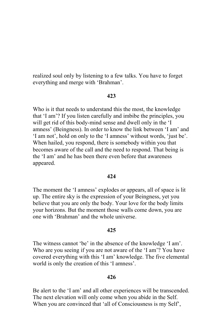realized soul only by listening to a few talks. You have to forget everything and merge with 'Brahman'.

# 423

Who is it that needs to understand this the most, the knowledge that 'I am'? If you listen carefully and imbibe the principles, you will get rid of this body-mind sense and dwell only in the 'I amness' (Beingness). In order to know the link between 'I am' and 'I am not', hold on only to the 'I amness' without words, 'just be'. When hailed, you respond, there is somebody within you that becomes aware of the call and the need to respond. That being is the 'I am' and he has been there even before that awareness appeared.

# 424

The moment the 'I amness' explodes or appears, all of space is lit up. The entire sky is the expression of your Beingness, yet you believe that you are only the body. Your love for the body limits vour horizons. But the moment those walls come down, you are one with 'Brahman' and the whole universe.

#### 425

The witness cannot 'be' in the absence of the knowledge 'I am'. Who are you seeing if you are not aware of the 'I am'? You have covered everything with this 'I am' knowledge. The five elemental world is only the creation of this 'I amness'.

#### 426

Be alert to the 'I am' and all other experiences will be transcended. The next elevation will only come when you abide in the Self. When you are convinced that 'all of Consciousness is my Self',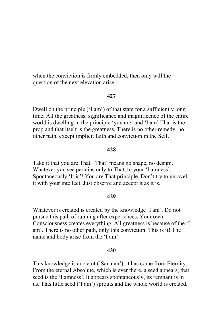when the conviction is firmly embedded, then only will the question of the next elevation arise.

### 427

Dwell on the principle ('I am') of that state for a sufficiently long time. All the greatness, significance and magnificence of the entire world is dwelling in the principle 'you are' and 'I am' That is the prop and that itself is the greatness. There is no other remedy, no other path, except implicit faith and conviction in the Self.

## 428

Take it that you are That. 'That' means no shape, no design. Whatever you see pertains only to That, to your 'I amness'. Spontaneously 'It is'! You are That principle. Don't try to unravel it with your intellect. Just observe and accept it as it is.

### 429

Whatever is created is created by the knowledge 'I am'. Do not pursue this path of running after experiences. Your own Consciousness creates everything. All greatness is because of the 'I am'. There is no other path, only this conviction. This is it! The name and body arise from the 'I am'

# 430

This knowledge is anciemt ('Sanatan'), it has come from Eternity. From the eternal Absolute, which is ever there, a seed appears, that seed is the 'I amness'. It appears spontaneously, its remnant is in us. This little seed ('I am') sprouts and the whole world is created.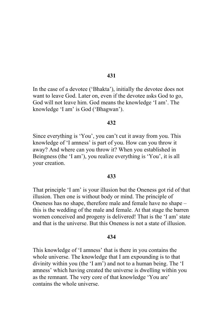In the case of a devotee ('Bhakta'), initially the devotee does not want to leave God. Later on, even if the devotee asks God to go, God will not leave him. God means the knowledge 'I am'. The knowledge 'I am' is God ('Bhagwan').

## 432

Since everything is 'You', you can't cut it away from you. This knowledge of 'I amness' is part of you. How can you throw it away? And where can you throw it? When you established in Beingness (the 'I am'), you realize everything is 'You', it is all your creation.

### 433

That principle 'I am' is your illusion but the Oneness got rid of that illusion. Then one is without body or mind. The principle of Oneness has no shape, therefore male and female have no shape this is the wedding of the male and female. At that stage the barren women conceived and progeny is delivered! That is the 'I am' state and that is the universe. But this Oneness is not a state of illusion.

## 434

This knowledge of 'I amness' that is there in you contains the whole universe. The knowledge that I am expounding is to that divinity within you (the 'I am') and not to a human being. The 'I amness' which having created the universe is dwelling within you as the remnant. The very core of that knowledge 'You are' contains the whole universe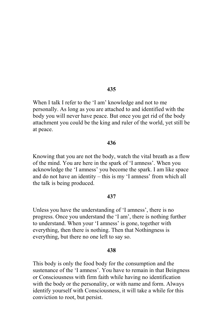When I talk I refer to the 'I am' knowledge and not to me personally. As long as you are attached to and identified with the body you will never have peace. But once you get rid of the body attachment you could be the king and ruler of the world, yet still be at peace.

### 436

Knowing that you are not the body, watch the vital breath as a flow of the mind. You are here in the spark of 'I amness'. When you acknowledge the 'I amness' you become the spark. I am like space and do not have an identity – this is my 'I amness' from which all the talk is being produced.

#### 437

Unless you have the understanding of 'I amness', there is no progress. Once you understand the 'I am', there is nothing further to understand. When your 'I amness' is gone, together with everything, then there is nothing. Then that Nothingness is everything, but there no one left to say so.

## 438

This body is only the food body for the consumption and the sustenance of the 'I amness'. You have to remain in that Beingness or Consciousness with firm faith while having no identification with the body or the personality, or with name and form. Always identify yourself with Consciousness, it will take a while for this conviction to root, but persist.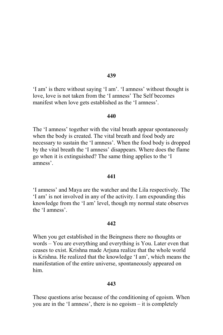'I am' is there without saying 'I am'. 'I amness' without thought is love, love is not taken from the 'I amness' The Self becomes manifest when love gets established as the 'I amness'.

#### 440

The 'I amness' together with the vital breath appear spontaneously when the body is created. The vital breath and food body are necessary to sustain the 'I amness'. When the food body is dropped by the vital breath the 'I amness' disappears. Where does the flame go when it is extinguished? The same thing applies to the 'I amness'

### 441

'I amness' and Maya are the watcher and the Lila respectively. The 'I am' is not involved in any of the activity. I am expounding this knowledge from the 'I am' level, though my normal state observes the 'I amness'

#### 442

When you get established in the Beingness there no thoughts or words – You are everything and everything is You. Later even that ceases to exist. Krishna made Arjuna realize that the whole world is Krishna. He realized that the knowledge 'I am', which means the manifestation of the entire universe, spontaneously appeared on him

## 443

These questions arise because of the conditioning of egoism. When you are in the 'I amness', there is no egoism – it is completely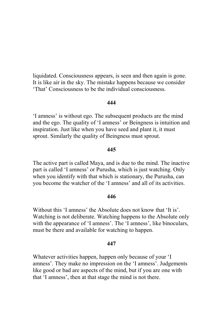liquidated. Consciousness appears, is seen and then again is gone. It is like air in the sky. The mistake happens because we consider 'That' Consciousness to be the individual consciousness.

## 444

'I amness' is without ego. The subsequent products are the mind and the ego. The quality of 'I amness' or Beingness is intuition and inspiration. Just like when you have seed and plant it, it must sprout. Similarly the quality of Beingness must sprout.

### 445

The active part is called Maya, and is due to the mind. The inactive part is called 'I amness' or Purusha, which is just watching. Only when you identify with that which is stationary, the Purusha, can you become the watcher of the 'I amness' and all of its activities.

#### 446

Without this 'I amness' the Absolute does not know that 'It is'. Watching is not deliberate. Watching happens to the Absolute only with the appearance of 'I amness'. The 'I amness', like binoculars, must be there and available for watching to happen.

#### 447

Whatever activities happen, happen only because of your 'I amness'. They make no impression on the 'I amness'. Judgements like good or bad are aspects of the mind, but if you are one with that 'I amness', then at that stage the mind is not there.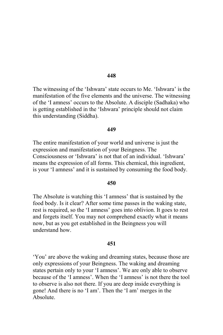The witnessing of the 'Ishwara' state occurs to Me. 'Ishwara' is the manifestation of the five elements and the universe. The witnessing of the 'I amness' occurs to the Absolute. A disciple (Sadhaka) who is getting established in the 'Ishwara' principle should not claim this understanding (Siddha).

#### 449

The entire manifestation of your world and universe is just the expression and manifestation of your Beingness. The Consciousness or 'Ishwara' is not that of an individual. 'Ishwara' means the expression of all forms. This chemical, this ingredient, is your 'I amness' and it is sustained by consuming the food body.

# 450

The Absolute is watching this 'I amness' that is sustained by the food body. Is it clear? After some time passes in the waking state, rest is required, so the 'I amness' goes into oblivion. It goes to rest and forgets itself. You may not comprehend exactly what it means now, but as you get established in the Beingness you will understand how

#### 451

'You' are above the waking and dreaming states, because those are only expressions of your Beingness. The waking and dreaming states pertain only to your 'I amness'. We are only able to observe because of the 'I amness'. When the 'I amness' is not there the tool to observe is also not there. If you are deep inside everything is gone! And there is no 'I am'. Then the 'I am' merges in the Absolute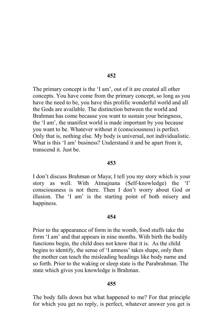The primary concept is the 'I am', out of it are created all other concepts. You have come from the primary concept, so long as you have the need to be, you have this prolific wonderful world and all the Gods are available. The distinction between the world and Brahman has come because you want to sustain your beingness, the 'I am', the manifest world is made important by you because you want to be. Whatever without it (consciousness) is perfect. Only that is, nothing else. My body is universal, not individualistic. What is this 'I am' business? Understand it and be apart from it, transcend it. Just be.

## 453

I don't discuss Brahman or Maya; I tell you my story which is your story as well. With Atmainana (Self-knowledge) the 'I' consciousness is not there. Then I don't worry about God or illusion. The 'I am' is the starting point of both misery and happiness.

## 454

Prior to the appearance of form in the womb, food stuffs take the form 'I am' and that appears in nine months. With birth the bodily functions begin, the child does not know that it is. As the child begins to identify, the sense of 'I amness' takes shape, only then the mother can teach the misleading headings like body name and so forth. Prior to the waking or sleep state is the Parabrahman. The state which gives you knowledge is Brahman.

# 455

The body falls down but what happened to me? For that principle for which you get no reply, is perfect, whatever answer you get is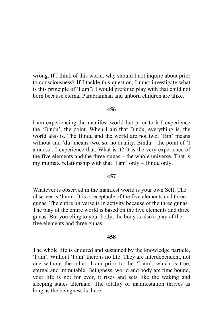wrong. If I think of this world, why should I not inquire about prior to consciousness? If I tackle this question, I must investigate what is this principle of 'I am'? I would prefer to play with that child not born because eternal Parabramhan and unborn children are alike.

# 456

I am experiencing the manifest world but prior to it I experience the 'Bindu', the point. When I am that Bindu, everything is, the world also is. The Bindu and the world are not two. 'Bin' means without and 'du' means two, so, no duality. Bindu – the point of 'I amness', I experience that. What is it? It is the very experience of the five elements and the three gunas – the whole universe. That is my intimate relationship with that 'I am' only – Bindu only.

### 457

Whatever is observed in the manifest world is your own Self, The observer is 'I am', It is a receptacle of the five elements and three gunas. The entire universe is in activity because of the three gunas. The play of the entire world is based on the five elements and three gunas. But you cling to your body; the body is also a play of the five elements and three gunas.

#### 458

The whole life is endured and sustained by the knowledge particle, 'I am'. Without 'I am' there is no life. They are interdependent, not one without the other. I am prior to the 'I am', which is true, eternal and immutable. Beingness, world and body are time bound, your life is not for ever, it rises and sets like the waking and sleeping states alternate. The totality of manifestation thrives as long as the beingness is there.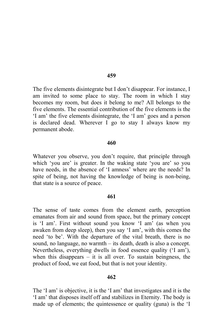The five elements disintegrate but I don't disappear. For instance, I am invited to some place to stay. The room in which I stay becomes my room, but does it belong to me? All belongs to the five elements. The essential contribution of the five elements is the 'I am' the five elements disintegrate, the 'I am' goes and a person is declared dead. Wherever I go to stay I always know my permanent abode.

### 460

Whatever you observe, you don't require, that principle through which 'you are' is greater. In the waking state 'you are' so you have needs, in the absence of 'I amness' where are the needs? In spite of being, not having the knowledge of being is non-being, that state is a source of peace.

### 461

The sense of taste comes from the element earth, perception emanates from air and sound from space, but the primary concept is 'I am'. First without sound you know 'I am' (as when you awaken from deep sleep), then you say 'I am', with this comes the need 'to be'. With the departure of the vital breath, there is no sound, no language, no warmth – its death, death is also a concept. Nevertheless, everything dwells in food essence quality ('I am'), when this disappears  $-$  it is all over. To sustain beingness, the product of food, we eat food, but that is not your identity.

### 462

The 'I am' is objective, it is the 'I am' that investigates and it is the 'I am' that disposes itself off and stabilizes in Eternity. The body is made up of elements; the quintessence or quality (guna) is the 'I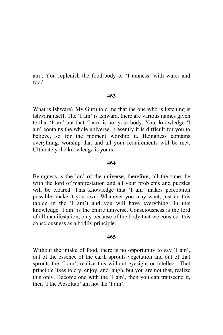am'. You replenish the food-body or 'I amness' with water and food

# 463

What is Ishwara? My Guru told me that the one who is listening is Ishwara itself. The 'I am' is Ishwara, there are various names given to that 'I am' but that 'I am' is not your body. Your knowledge 'I am' contains the whole universe, presently it is difficult for you to believe, so for the moment worship it. Beingness contains everything, worship that and all your requirements will be met. Ultimately the knowledge is yours.

# 464

Beingness is the lord of the universe, therefore, all the time, be with the lord of manifestation and all your problems and puzzles will be cleared. This knowledge that 'I am' makes perception possible, make it you own. Whatever you may want, just do this (abide in the 'I am') and you will have everything. In this knowledge 'I am' is the entire universe. Consciousness is the lord of all manifestation, only because of the body that we consider this consciousness as a bodily principle.

# 465

Without the intake of food, there is no opportunity to say 'I am', out of the essence of the earth sprouts vegetation and out of that sprouts the 'I am', realize this without eyesight or intellect. That principle likes to cry, enjoy, and laugh, but you are not that, realize this only. Become one with the 'I am', then you can transcend it, then 'I the Absolute' am not the 'I am'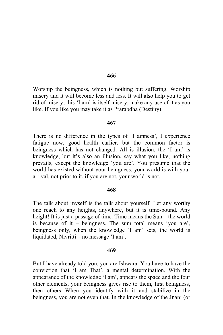Worship the beingness, which is nothing but suffering. Worship misery and it will become less and less. It will also help you to get rid of misery; this 'I am' is itself misery, make any use of it as you like. If you like you may take it as Prarabdha (Destiny).

#### 467

There is no difference in the types of 'I amness', I experience fatigue now, good health earlier, but the common factor is beingness which has not changed. All is illusion, the 'I am' is knowledge, but it's also an illusion, say what you like, nothing prevails, except the knowledge 'you are'. You presume that the world has existed without your beingness; your world is with your arrival, not prior to it, if you are not, your world is not.

#### 468

The talk about myself is the talk about yourself. Let any worthy one reach to any heights, anywhere, but it is time-bound. Any height! It is just a passage of time. Time means the Sun – the world is because of it – beingness. The sum total means 'you are', beingness only, when the knowledge 'I am' sets, the world is liquidated, Nivritti – no message 'I am'.

#### 469

But I have already told you, you are Ishwara. You have to have the conviction that 'I am That', a mental determination. With the appearance of the knowledge 'I am', appears the space and the four other elements, your beingness gives rise to them, first beingness, then others When you identify with it and stabilize in the beingness, you are not even that. In the knowledge of the Jnani (or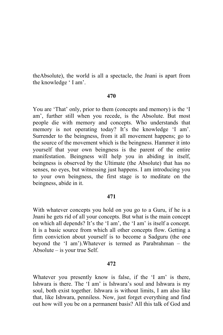the Absolute), the world is all a spectacle, the Jnani is apart from the knowledge 'I am'.

# 470

You are 'That' only, prior to them (concepts and memory) is the 'I am', further still when you recede, is the Absolute. But most people die with memory and concepts. Who understands that memory is not operating today? It's the knowledge 'I am'. Surrender to the beingness, from it all movement happens; go to the source of the movement which is the beingness. Hammer it into yourself that your own beingness is the parent of the entire manifestation. Beingness will help you in abiding in itself, beingness is observed by the Ultimate (the Absolute) that has no senses, no eyes, but witnessing just happens. I am introducing you to your own beingness, the first stage is to meditate on the beingness, abide in it.

# 471

With whatever concepts you hold on you go to a Guru, if he is a Jnani he gets rid of all your concepts. But what is the main concept on which all depends? It's the 'I am', the 'I am' is itself a concept. It is a basic source from which all other concepts flow. Getting a firm conviction about yourself is to become a Sadguru (the one beyond the 'I am'). Whatever is termed as Parabrahman – the Absolute  $-$  is your true Self.

# 472

Whatever you presently know is false, if the 'I am' is there, Ishwara is there. The 'I am' is Ishwara's soul and Ishwara is my soul, both exist together. Ishwara is without limits, I am also like that, like Ishwara, penniless. Now, just forget everything and find out how will you be on a permanent basis? All this talk of God and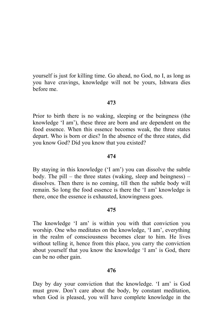yourself is just for killing time. Go ahead, no God, no I, as long as you have cravings, knowledge will not be yours, Ishwara dies before me.

# 473

Prior to birth there is no waking, sleeping or the beingness (the knowledge 'I am'), these three are born and are dependent on the food essence. When this essence becomes weak, the three states depart. Who is born or dies? In the absence of the three states, did you know God? Did you know that you existed?

# 474

By staying in this knowledge ('I am') you can dissolve the subtle body. The pill – the three states (waking, sleep and beingness) – dissolves. Then there is no coming, till then the subtle body will remain. So long the food essence is there the 'I am' knowledge is there, once the essence is exhausted, knowingness goes.

### 475

The knowledge 'I am' is within you with that conviction you worship. One who meditates on the knowledge, 'I am', everything in the realm of consciousness becomes clear to him. He lives without telling it, hence from this place, you carry the conviction about yourself that you know the knowledge 'I am' is God, there can be no other gain.

# 476

Day by day your conviction that the knowledge. 'I am' is God must grow. Don't care about the body, by constant meditation, when God is pleased, you will have complete knowledge in the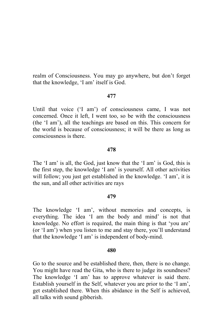realm of Consciousness. You may go anywhere, but don't forget that the knowledge, 'I am' itself is God.

# 477

Until that voice ('I am') of consciousness came, I was not concerned. Once it left, I went too, so be with the consciousness (the 'I am'), all the teachings are based on this. This concern for the world is because of consciousness; it will be there as long as consciousness is there

# 478

The 'I am' is all, the God, just know that the 'I am' is God, this is the first step, the knowledge 'I am' is yourself. All other activities will follow; you just get established in the knowledge. 'I am', it is the sun, and all other activities are rays

### 479

The knowledge 'I am', without memories and concepts, is everything. The idea 'I am the body and mind' is not that knowledge. No effort is required, the main thing is that 'you are' (or 'I am') when you listen to me and stay there, you'll understand that the knowledge 'I am' is independent of body-mind.

### 480

Go to the source and be established there, then, there is no change. You might have read the Gita, who is there to judge its soundness? The knowledge 'I am' has to approve whatever is said there. Establish yourself in the Self, whatever you are prior to the 'I am', get established there. When this abidance in the Self is achieved, all talks with sound gibberish.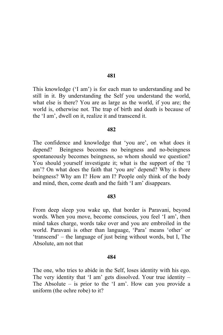This knowledge ('I am') is for each man to understanding and be still in it. By understanding the Self you understand the world, what else is there? You are as large as the world, if you are; the world is, otherwise not. The trap of birth and death is because of the 'I am', dwell on it, realize it and transcend it.

#### 482

The confidence and knowledge that 'you are', on what does it depend? Beingness becomes no beingness and no-beingness spontaneously becomes beingness, so whom should we question? You should yourself investigate it; what is the support of the 'I am'? On what does the faith that 'you are' depend? Why is there beingness? Why am I? How am I? People only think of the body and mind, then, come death and the faith 'I am' disappears.

#### 483

From deep sleep you wake up, that border is Paravani, beyond words. When you move, become conscious, you feel 'I am', then mind takes charge, words take over and you are embroiled in the world. Paravani is other than language, 'Para' means 'other' or 'transcend' – the language of just being without words, but I, The Absolute, am not that

#### 484

The one, who tries to abide in the Self, loses identity with his ego. The very identity that 'I am' gets dissolved. Your true identity  $-$ The Absolute  $-$  is prior to the 'I am'. How can you provide a uniform (the ochre robe) to it?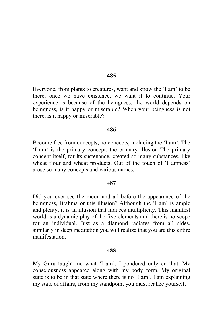Everyone, from plants to creatures, want and know the 'I am' to be there, once we have existence, we want it to continue. Your experience is because of the beingness, the world depends on beingness, is it happy or miserable? When your beingness is not there, is it happy or miserable?

#### 486

Become free from concepts, no concepts, including the 'I am'. The 'I am' is the primary concept, the primary illusion The primary concept itself, for its sustenance, created so many substances, like wheat flour and wheat products. Out of the touch of 'I amness' arose so many concepts and various names.

### 487

Did you ever see the moon and all before the appearance of the beingness, Brahma or this illusion? Although the 'I am' is ample and plenty, it is an illusion that induces multiplicity. This manifest world is a dynamic play of the five elements and there is no scope for an individual. Just as a diamond radiates from all sides. similarly in deep meditation you will realize that you are this entire manifestation

#### 488

My Guru taught me what 'I am', I pondered only on that. My consciousness appeared along with my body form. My original state is to be in that state where there is no 'I am'. I am explaining my state of affairs, from my standpoint you must realize yourself.

485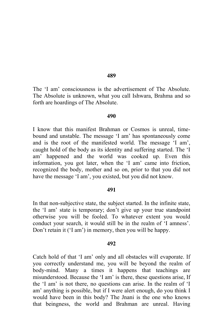The 'I am' consciousness is the advertisement of The Absolute. The Absolute is unknown, what you call Ishwara. Brahma and so forth are hoardings of The Absolute.

#### 490

I know that this manifest Brahman or Cosmos is unreal, timebound and unstable. The message 'I am' has spontaneously come and is the root of the manifested world. The message 'I am', caught hold of the body as its identity and suffering started. The 'I am' happened and the world was cooked up. Even this information, you got later, when the 'I am' came into friction, recognized the body, mother and so on, prior to that you did not have the message 'I am', you existed, but you did not know.

#### 491

In that non-subjective state, the subject started. In the infinite state, the 'I am' state is temporary; don't give up your true standpoint otherwise you will be fooled. To whatever extent you would conduct your search, it would still be in the realm of 'I amness'. Don't retain it ('I am') in memory, then you will be happy.

#### 492

Catch hold of that 'I am' only and all obstacles will evaporate. If you correctly understand me, you will be beyond the realm of body-mind. Many a times it happens that teachings are misunderstood. Because the 'I am' is there, these questions arise, If the 'I am' is not there, no questions can arise. In the realm of 'I am' anything is possible, but if I were alert enough, do you think I would have been in this body? The Jnani is the one who knows that beingness, the world and Brahman are unreal. Having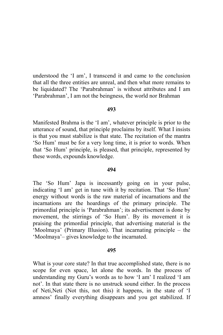understood the 'I am'. I transcend it and came to the conclusion that all the three entities are unreal, and then what more remains to be liquidated? The 'Parabrahman' is without attributes and I am 'Parabrahman', I am not the beingness, the world nor Brahman

# 493

Manifested Brahma is the 'I am', whatever principle is prior to the utterance of sound, that principle proclaims by itself. What I insists is that you must stabilize is that state. The recitation of the mantra 'So Hum' must be for a very long time, it is prior to words. When that 'So Hum' principle, is pleased, that principle, represented by these words, expounds knowledge.

## 494

The 'So Hum' Japa is incessantly going on in your pulse, indicating 'I am' get in tune with it by recitation. That 'So Hum' energy without words is the raw material of incarnations and the incarnations are the hoardings of the primary principle. The primordial principle is 'Parabrahman'; its advertisement is done by movement, the stirrings of 'So Hum'. By its movement it is praising the primordial principle, that advertising material is the 'Moolmaya' (Primary Illusion). That incarnating principle – the 'Moolmaya'- gives knowledge to the incarnated.

### 495

What is your core state? In that true accomplished state, there is no scope for even space, let alone the words. In the process of understanding my Guru's words as to how 'I am' I realized 'I am not'. In that state there is no unstruck sound either. In the process of Neti, Neti (Not this, not this) it happens, in the state of 'I amness' finally everything disappears and you get stabilized. If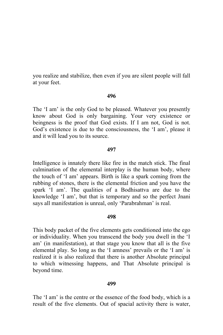you realize and stabilize, then even if you are silent people will fall at your feet.

# 496

The 'I am' is the only God to be pleased. Whatever you presently know about God is only bargaining. Your very existence or beingness is the proof that God exists. If I am not, God is not. God's existence is due to the consciousness, the 'I am', please it and it will lead you to its source.

# 497

Intelligence is innately there like fire in the match stick. The final culmination of the elemental interplay is the human body, where the touch of 'I am' appears. Birth is like a spark coming from the rubbing of stones, there is the elemental friction and you have the spark 'I am'. The qualities of a Bodhisattva are due to the knowledge 'I am', but that is temporary and so the perfect Jnani says all manifestation is unreal, only 'Parabrahman' is real.

## 498

This body packet of the five elements gets conditioned into the ego or individuality. When you transcend the body you dwell in the 'I am' (in manifestation), at that stage you know that all is the five elemental play. So long as the 'I amness' prevails or the 'I am' is realized it is also realized that there is another Absolute principal to which witnessing happens, and That Absolute principal is beyond time.

### 499

The 'I am' is the centre or the essence of the food body, which is a result of the five elements. Out of spacial activity there is water,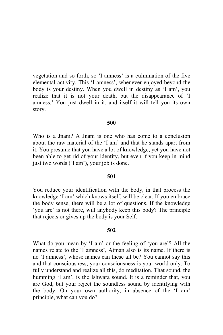vegetation and so forth, so 'I amness' is a culmination of the five elemental activity. This 'I amness', whenever enjoyed beyond the body is your destiny. When you dwell in destiny as 'I am', you realize that it is not your death, but the disappearance of 'I amness.' You just dwell in it, and itself it will tell you its own story.

## 500

Who is a Jnani? A Jnani is one who has come to a conclusion about the raw material of the 'I am' and that he stands apart from it. You presume that you have a lot of knowledge, yet you have not been able to get rid of your identity, but even if you keep in mind just two words ('I am'), your job is done.

### 501

You reduce your identification with the body, in that process the knowledge 'I am' which knows itself, will be clear. If you embrace the body sense, there will be a lot of questions. If the knowledge 'you are' is not there, will anybody keep this body? The principle that rejects or gives up the body is your Self.

### 502

What do you mean by 'I am' or the feeling of 'you are'? All the names relate to the 'I amness', Atman also is its name. If there is no 'I amness', whose names can these all be? You cannot say this and that consciousness, your consciousness is your world only. To fully understand and realize all this, do meditation. That sound, the humming 'I am', is the Ishwara sound. It is a reminder that, you are God, but your reject the soundless sound by identifying with the body. On your own authority, in absence of the 'I am' principle, what can you do?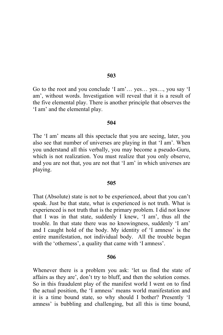Go to the root and you conclude 'I am'... yes... yes..., you say 'I am', without words. Investigation will reveal that it is a result of the five elemental play. There is another principle that observes the 'I am' and the elemental play.

### 504

The 'I am' means all this spectacle that you are seeing, later, you also see that number of universes are playing in that 'I am'. When you understand all this verbally, you may become a pseudo-Guru, which is not realization. You must realize that you only observe, and you are not that, you are not that 'I am' in which universes are playing.

### 505

That (Absolute) state is not to be experienced, about that you can't speak. Just be that state, what is experienced is not truth. What is experienced is not truth that is the primary problem. I did not know that I was in that state, suddenly I knew, 'I am', thus all the trouble. In that state there was no knowingness, suddenly 'I am' and I caught hold of the body. My identity of 'I amness' is the entire manifestation, not individual body. All the trouble began with the 'otherness', a quality that came with 'I amness'.

#### 506

Whenever there is a problem you ask: 'let us find the state of affairs as they are', don't try to bluff, and then the solution comes. So in this fraudulent play of the manifest world I went on to find the actual position, the 'I amness' means world manifestation and it is a time bound state, so why should I bother? Presently 'I amness' is bubbling and challenging, but all this is time bound,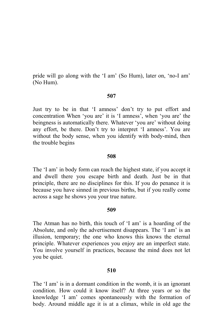pride will go along with the 'I am' (So Hum), later on, 'no-I am' (No Hum).

### 507

Just try to be in that 'I amness' don't try to put effort and concentration When 'you are' it is 'I amness', when 'you are' the beingness is automatically there. Whatever 'you are' without doing any effort, be there. Don't try to interpret 'I amness'. You are without the body sense, when you identify with body-mind, then the trouble begins

# 508

The 'I am' in body form can reach the highest state, if you accept it and dwell there you escape birth and death. Just be in that principle, there are no disciplines for this. If you do penance it is because you have sinned in previous births, but if you really come across a sage he shows you your true nature.

### 509

The Atman has no birth, this touch of 'I am' is a hoarding of the Absolute, and only the advertisement disappears. The 'I am' is an illusion, temporary; the one who knows this knows the eternal principle. Whatever experiences you enjoy are an imperfect state. You involve yourself in practices, because the mind does not let you be quiet.

## 510

The 'I am' is in a dormant condition in the womb, it is an ignorant condition. How could it know itself? At three years or so the knowledge 'I am' comes spontaneously with the formation of body. Around middle age it is at a climax, while in old age the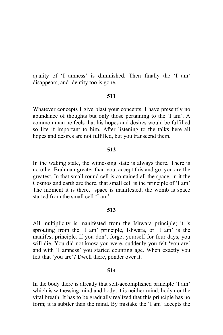quality of 'I amness' is diminished. Then finally the 'I am' disappears, and identity too is gone.

### 511

Whatever concepts I give blast your concepts. I have presently no abundance of thoughts but only those pertaining to the 'I am'. A common man he feels that his hopes and desires would be fulfilled so life if important to him. After listening to the talks here all hopes and desires are not fulfilled, but you transcend them.

# 512

In the waking state, the witnessing state is always there. There is no other Brahman greater than you, accept this and go, you are the greatest. In that small round cell is contained all the space, in it the Cosmos and earth are there, that small cell is the principle of 'I am' The moment it is there, space is manifested, the womb is space started from the small cell 'I am'.

# 513

All multiplicity is manifested from the Ishwara principle; it is sprouting from the 'I am' principle, Ishwara, or 'I am' is the manifest principle. If you don't forget yourself for four days, you will die. You did not know you were, suddenly you felt 'you are' and with 'I amness' you started counting age. When exactly you felt that 'you are'? Dwell there, ponder over it.

# 514

In the body there is already that self-accomplished principle 'I am' which is witnessing mind and body, it is neither mind, body nor the vital breath. It has to be gradually realized that this principle has no form; it is subtler than the mind. By mistake the 'I am' accepts the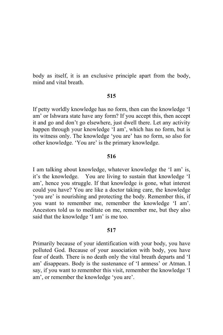body as itself, it is an exclusive principle apart from the body, mind and vital breath

# 515

If petty worldly knowledge has no form, then can the knowledge 'I am' or Ishwara state have any form? If you accept this, then accept it and go and don't go elsewhere, just dwell there. Let any activity happen through your knowledge 'I am', which has no form, but is its witness only. The knowledge 'you are' has no form, so also for other knowledge. 'You are' is the primary knowledge.

# 516

I am talking about knowledge, whatever knowledge the 'I am' is, You are living to sustain that knowledge 'I it's the knowledge. am', hence you struggle. If that knowledge is gone, what interest could you have? You are like a doctor taking care, the knowledge 'you are' is nourishing and protecting the body. Remember this, if you want to remember me, remember the knowledge 'I am'. Ancestors told us to meditate on me, remember me, but they also said that the knowledge 'I am' is me too.

## 517

Primarily because of your identification with your body, you have polluted God. Because of your association with body, you have fear of death. There is no death only the vital breath departs and 'I am' disappears. Body is the sustenance of 'I amness' or Atman. I say, if you want to remember this visit, remember the knowledge 'I am', or remember the knowledge 'you are'.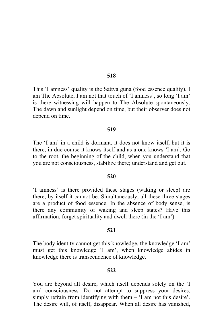This 'I amness' quality is the Sattva guna (food essence quality). I am The Absolute, I am not that touch of 'I amness', so long 'I am' is there witnessing will happen to The Absolute spontaneously. The dawn and sunlight depend on time, but their observer does not depend on time.

### 519

The 'I am' in a child is dormant, it does not know itself, but it is there, in due course it knows itself and as a one knows 'I am'. Go to the root, the beginning of the child, when you understand that you are not consciousness, stabilize there; understand and get out.

#### 520

'I amness' is there provided these stages (waking or sleep) are there, by itself it cannot be. Simultaneously, all these three stages are a product of food essence. In the absence of body sense, is there any community of waking and sleep states? Have this affirmation, forget spirituality and dwell there (in the 'I am').

## 521

The body identity cannot get this knowledge, the knowledge 'I am' must get this knowledge 'I am', when knowledge abides in knowledge there is transcendence of knowledge.

#### 522

You are beyond all desire, which itself depends solely on the 'I am' consciousness. Do not attempt to suppress your desires, simply refrain from identifying with them  $-$  'I am not this desire'. The desire will, of itself, disappear. When all desire has vanished,

# 518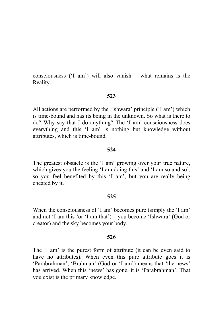consciousness ( $T \text{ am'}$ ) will also vanish – what remains is the Reality.

# 523

All actions are performed by the 'Ishwara' principle ('I am') which is time-bound and has its being in the unknown. So what is there to do? Why say that I do anything? The 'I am' consciousness does everything and this 'I am' is nothing but knowledge without attributes, which is time-bound.

# 524

The greatest obstacle is the 'I am' growing over your true nature, which gives you the feeling 'I am doing this' and 'I am so and so', so you feel benefited by this 'I am', but you are really being cheated by it.

# 525

When the consciousness of 'I am' becomes pure (simply the 'I am' and not 'I am this 'or 'I am that') – you become 'Ishwara' (God or creator) and the sky becomes your body.

# 526

The 'I am' is the purest form of attribute (it can be even said to have no attributes). When even this pure attribute goes it is 'Parabrahman', 'Brahman' (God or 'I am') means that 'the news' has arrived. When this 'news' has gone, it is 'Parabrahman'. That you exist is the primary knowledge.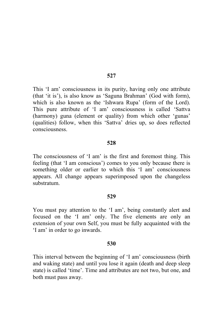This 'I am' consciousness in its purity, having only one attribute (that 'it is'), is also know as 'Saguna Brahman' (God with form), which is also known as the 'Ishwara Rupa' (form of the Lord). This pure attribute of 'I am' consciousness is called 'Sattva (harmony) guna (element or quality) from which other 'gunas' (qualities) follow, when this 'Sattva' dries up, so does reflected consciousness.

#### 528

The consciousness of 'I am' is the first and foremost thing. This feeling (that 'I am conscious') comes to you only because there is something older or earlier to which this 'I am' consciousness appears. All change appears superimposed upon the changeless substratum

#### 529

You must pay attention to the 'I am', being constantly alert and focused on the 'I am' only. The five elements are only an extension of your own Self, you must be fully acquainted with the 'I am' in order to go inwards.

### 530

This interval between the beginning of 'I am' consciousness (birth and waking state) and until you lose it again (death and deep sleep state) is called 'time'. Time and attributes are not two, but one, and both must pass away.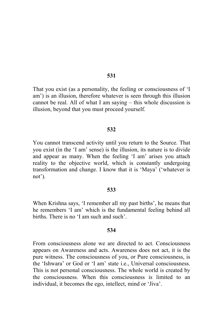That you exist (as a personality, the feeling or consciousness of 'I am') is an illusion, therefore whatever is seen through this illusion cannot be real. All of what I am saying  $-$  this whole discussion is illusion, beyond that you must proceed yourself.

## 532

You cannot transcend activity until you return to the Source. That you exist (in the 'I am' sense) is the illusion, its nature is to divide and appear as many. When the feeling 'I am' arises you attach reality to the objective world, which is constantly undergoing transformation and change. I know that it is 'Maya' ('whatever is not').

#### 533

When Krishna says, 'I remember all my past births', he means that he remembers 'I am' which is the fundamental feeling behind all births. There is no 'I am such and such'.

# 534

From consciousness alone we are directed to act. Consciousness appears on Awareness and acts. Awareness does not act, it is the pure witness. The consciousness of you, or Pure consciousness, is the 'Ishwara' or God or 'I am' state i.e., Universal consciousness. This is not personal consciousness. The whole world is created by the consciousness. When this consciousness is limited to an individual, it becomes the ego, intellect, mind or 'Jiva'.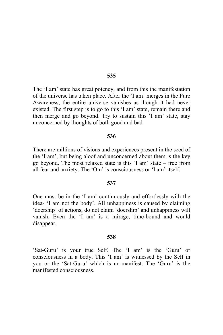The 'I am' state has great potency, and from this the manifestation of the universe has taken place. After the 'I am' merges in the Pure Awareness, the entire universe vanishes as though it had never existed. The first step is to go to this 'I am' state, remain there and then merge and go beyond. Try to sustain this 'I am' state, stay unconcerned by thoughts of both good and bad.

# 536

There are millions of visions and experiences present in the seed of the 'I am', but being aloof and unconcerned about them is the key go beyond. The most relaxed state is this 'I am' state – free from all fear and anxiety. The 'Om' is consciousness or 'I am' itself.

# 537

One must be in the 'I am' continuously and effortlessly with the idea- 'I am not the body'. All unhappiness is caused by claiming 'doership' of actions, do not claim 'doership' and unhappiness will vanish. Even the 'I am' is a mirage, time-bound and would disappear.

### 538

'Sat-Guru' is your true Self. The 'I am' is the 'Guru' or consciousness in a body. This 'I am' is witnessed by the Self in you or the 'Sat-Guru' which is un-manifest. The 'Guru' is the manifested consciousness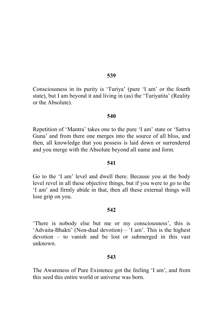Consciousness in its purity is 'Turiya' (pure 'I am' or the fourth state), but I am beyond it and living in (as) the 'Turiyatita' (Reality or the Absolute).

### 540

Repetition of 'Mantra' takes one to the pure 'I am' state or 'Sattva Guna' and from there one merges into the source of all bliss, and then, all knowledge that you possess is laid down or surrendered and you merge with the Absolute beyond all name and form.

### 541

Go to the 'I am' level and dwell there. Because you at the body level revel in all these objective things, but if you were to go to the 'I am' and firmly abide in that, then all these external things will lose grip on you.

### 542

'There is nobody else but me or my consciousness', this is 'Advaita-Bhakti' (Non-dual devotion) – 'I am'. This is the highest  $devotion - to vanish and be lost or submerged in this vast$ unknown

#### 543

The Awareness of Pure Existence got the feeling 'I am', and from this seed this entire world or universe was born.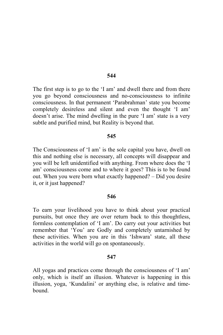The first step is to go to the 'I am' and dwell there and from there you go beyond consciousness and no-consciousness to infinite consciousness. In that permanent 'Parabrahman' state you become completely desireless and silent and even the thought 'I am' doesn't arise. The mind dwelling in the pure 'I am' state is a very subtle and purified mind, but Reality is beyond that.

### 545

The Consciousness of 'I am' is the sole capital you have, dwell on this and nothing else is necessary, all concepts will disappear and you will be left unidentified with anything. From where does the 'I am' consciousness come and to where it goes? This is to be found out. When you were born what exactly happened? – Did you desire it, or it just happened?

### 546

To earn your livelihood you have to think about your practical pursuits, but once they are over return back to this thoughtless, formless contemplation of 'I am'. Do carry out your activities but remember that 'You' are Godly and completely untarnished by these activities. When you are in this 'Ishwara' state, all these activities in the world will go on spontaneously.

#### 547

All yogas and practices come through the consciousness of 'I am' only, which is itself an illusion. Whatever is happening in this illusion, yoga, 'Kundalini' or anything else, is relative and timehound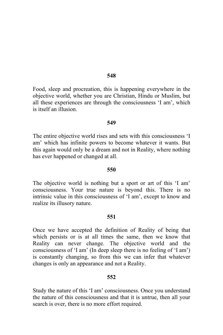Food, sleep and procreation, this is happening everywhere in the objective world, whether you are Christian, Hindu or Muslim, but all these experiences are through the consciousness 'I am', which is itself an illusion.

## 549

The entire objective world rises and sets with this consciousness 'I am' which has infinite powers to become whatever it wants. But this again would only be a dream and not in Reality, where nothing has ever happened or changed at all.

# 550

The objective world is nothing but a sport or art of this 'I am' consciousness. Your true nature is beyond this. There is no intrinsic value in this consciousness of 'I am', except to know and realize its illusory nature.

# 551

Once we have accepted the definition of Reality of being that which persists or is at all times the same, then we know that Reality can never change. The objective world and the consciousness of 'I am' (In deep sleep there is no feeling of 'I am') is constantly changing, so from this we can infer that whatever changes is only an appearance and not a Reality.

# 552

Study the nature of this 'I am' consciousness. Once you understand the nature of this consciousness and that it is untrue, then all your search is over, there is no more effort required.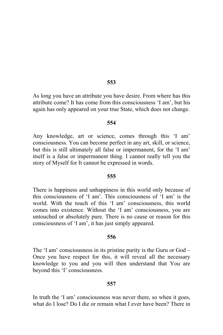As long you have an attribute you have desire. From where has this attribute come? It has come from this consciousness 'I am', but his again has only appeared on your true State, which does not change.

## 554

Any knowledge, art or science, comes through this 'I am' consciousness. You can become perfect in any art, skill, or science, but this is still ultimately all false or impermanent, for the 'I am' itself is a false or impermanent thing. I cannot really tell you the story of Myself for It cannot be expressed in words.

## 555

There is happiness and unhappiness in this world only because of this consciousness of 'I am'. This consciousness of 'I am' is the world. With the touch of this 'I am' consciousness, this world comes into existence. Without the 'I am' consciousness, you are untouched or absolutely pure. There is no cause or reason for this consciousness of 'I am', it has just simply appeared.

# 556

The 'I am' consciousness in its pristine purity is the Guru or  $God -$ Once you have respect for this, it will reveal all the necessary knowledge to you and you will then understand that You are beyond this 'I' consciousness.

## 557

In truth the 'I am' consciousness was never there, so when it goes, what do I lose? Do I die or remain what I ever have been? There in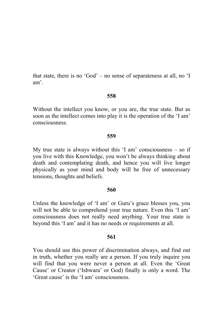that state, there is no 'God' – no sense of separateness at all, no 'I am'

# 558

Without the intellect you know, or you are, the true state. But as soon as the intellect comes into play it is the operation of the 'I am' consciousness

# 559

My true state is always without this  $T \text{ am}'$  consciousness  $-\text{ so if}$ you live with this Knowledge, you won't be always thinking about death and contemplating death, and hence you will live longer physically as your mind and body will be free of unnecessary tensions, thoughts and beliefs.

# 560

Unless the knowledge of 'I am' or Guru's grace blesses you, you will not be able to comprehend your true nature. Even this 'I am' consciousness does not really need anything. Your true state is beyond this 'I am' and it has no needs or requirements at all.

# 561

You should use this power of discrimination always, and find out in truth, whether you really are a person. If you truly inquire you will find that you were never a person at all. Even the 'Great Cause' or Creator ('Ishwara' or God) finally is only a word. The 'Great cause' is the 'I am' consciousness.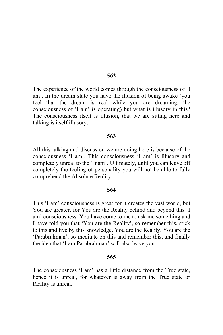The experience of the world comes through the consciousness of 'I am'. In the dream state you have the illusion of being awake (you feel that the dream is real while you are dreaming, the consciousness of 'I am' is operating) but what is illusory in this? The consciousness itself is illusion, that we are sitting here and talking is itself illusory.

## 563

All this talking and discussion we are doing here is because of the consciousness 'I am'. This consciousness 'I am' is illusory and completely unreal to the 'Jnani'. Ultimately, until you can leave off completely the feeling of personality you will not be able to fully comprehend the Absolute Reality.

# 564

This 'I am' consciousness is great for it creates the vast world, but You are greater, for You are the Reality behind and beyond this 'I am' consciousness. You have come to me to ask me something and I have told you that 'You are the Reality', so remember this, stick to this and live by this knowledge. You are the Reality. You are the 'Parabrahman', so meditate on this and remember this, and finally the idea that 'I am Parabrahman' will also leave you.

## 565

The consciousness 'I am' has a little distance from the True state, hence it is unreal, for whatever is away from the True state or Reality is unreal.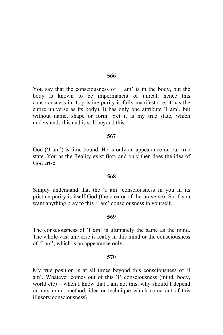You say that the consciousness of 'I am' is in the body, but the body is known to be impermanent or unreal, hence this consciousness in its pristine purity is fully manifest (i.e. it has the entire universe as its body). It has only one attribute 'I am', but without name, shape or form. Yet it is my true state, which understands this and is still beyond this.

## 567

God ('I am') is time-bound. He is only an appearance on our true state. You as the Reality exist first, and only then does the idea of God arise

## 568

Simply understand that the 'I am' consciousness in you in its pristine purity is itself God (the creator of the universe). So if you want anything pray to this 'I am' consciousness in yourself.

## 569

The consciousness of 'I am' is ultimately the same as the mind. The whole vast universe is really in this mind or the consciousness of 'I am', which is an appearance only.

#### 570

My true position is at all times beyond this consciousness of 'I am'. Whatever comes out of this 'I' consciousness (mind, body, world  $etc$ ) – when I know that I am not this, why should I depend on any mind, method, idea or technique which come out of this illusory consciousness?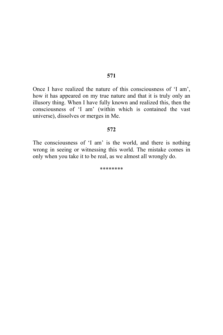Once I have realized the nature of this consciousness of 'I am', how it has appeared on my true nature and that it is truly only an illusory thing. When I have fully known and realized this, then the consciousness of 'I am' (within which is contained the vast universe), dissolves or merges in Me.

# 572

The consciousness of 'I am' is the world, and there is nothing wrong in seeing or witnessing this world. The mistake comes in only when you take it to be real, as we almost all wrongly do.

\*\*\*\*\*\*\*\*